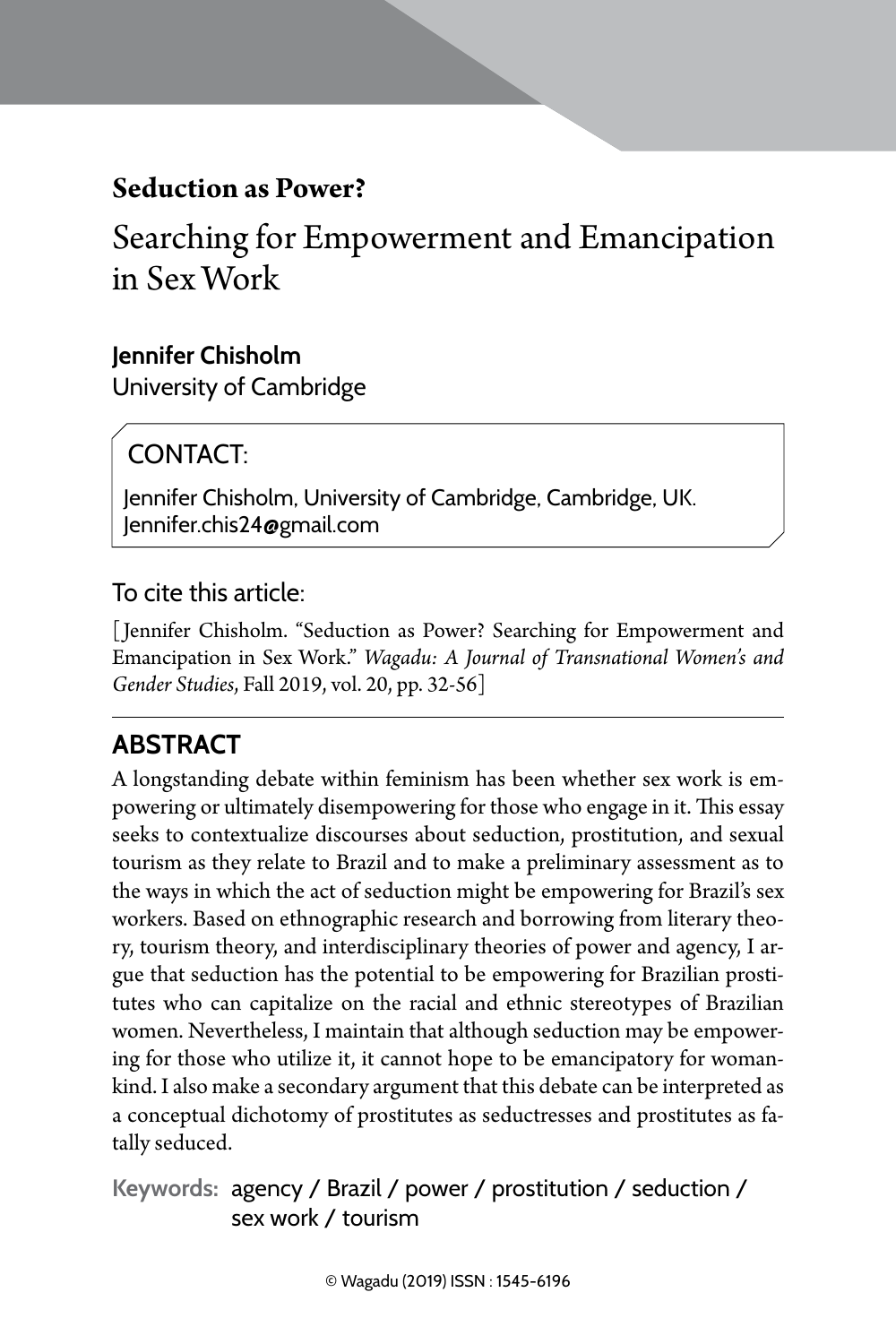# **Seduction as Power?**

Searching for Empowerment and Emancipation in Sex Work

### **Jennifer Chisholm**

University of Cambridge

## CONTACT:

Jennifer Chisholm, University of Cambridge, Cambridge, UK. Jennifer.chis24@gmail.com

### To cite this article:

[ Jennifer Chisholm. "Seduction as Power? Searching for Empowerment and Emancipation in Sex Work." *Wagadu: A Journal of Transnational Women's and Gender Studies*, Fall 2019, vol. 20, pp. 32-56]

## **Abstract**

A longstanding debate within feminism has been whether sex work is empowering or ultimately disempowering for those who engage in it. This essay seeks to contextualize discourses about seduction, prostitution, and sexual tourism as they relate to Brazil and to make a preliminary assessment as to the ways in which the act of seduction might be empowering for Brazil's sex workers. Based on ethnographic research and borrowing from literary theory, tourism theory, and interdisciplinary theories of power and agency, I argue that seduction has the potential to be empowering for Brazilian prostitutes who can capitalize on the racial and ethnic stereotypes of Brazilian women. Nevertheless, I maintain that although seduction may be empowering for those who utilize it, it cannot hope to be emancipatory for womankind. I also make a secondary argument that this debate can be interpreted as a conceptual dichotomy of prostitutes as seductresses and prostitutes as fatally seduced.

**Keywords:** agency / Brazil / power / prostitution / seduction / sex work / tourism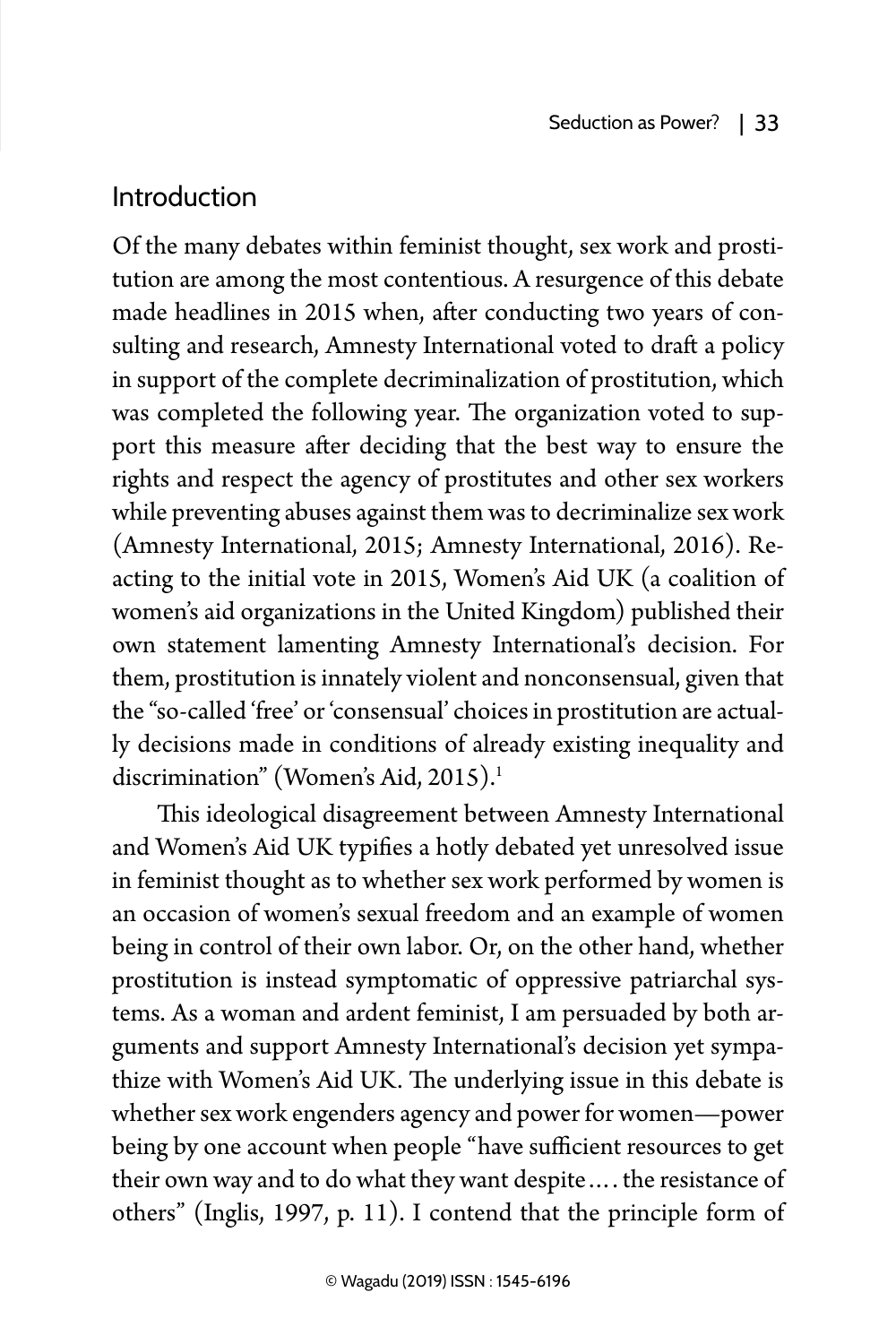## Introduction

Of the many debates within feminist thought, sex work and prostitution are among the most contentious. A resurgence of this debate made headlines in 2015 when, after conducting two years of consulting and research, Amnesty International voted to draft a policy in support of the complete decriminalization of prostitution, which was completed the following year. The organization voted to support this measure after deciding that the best way to ensure the rights and respect the agency of prostitutes and other sex workers while preventing abuses against them was to decriminalize sex work (Amnesty International, 2015; Amnesty International, 2016). Reacting to the initial vote in 2015, Women's Aid UK (a coalition of women's aid organizations in the United Kingdom) published their own statement lamenting Amnesty International's decision. For them, prostitution is innately violent and nonconsensual, given that the "so-called 'free' or 'consensual' choices in prostitution are actually decisions made in conditions of already existing inequality and discrimination" (Women's Aid, 2015).<sup>1</sup>

This ideological disagreement between Amnesty International and Women's Aid UK typifies a hotly debated yet unresolved issue in feminist thought as to whether sex work performed by women is an occasion of women's sexual freedom and an example of women being in control of their own labor. Or, on the other hand, whether prostitution is instead symptomatic of oppressive patriarchal systems. As a woman and ardent feminist, I am persuaded by both arguments and support Amnesty International's decision yet sympathize with Women's Aid UK. The underlying issue in this debate is whether sex work engenders agency and power for women—power being by one account when people "have sufficient resources to get their own way and to do what they want despite…. the resistance of others" (Inglis, 1997, p. 11). I contend that the principle form of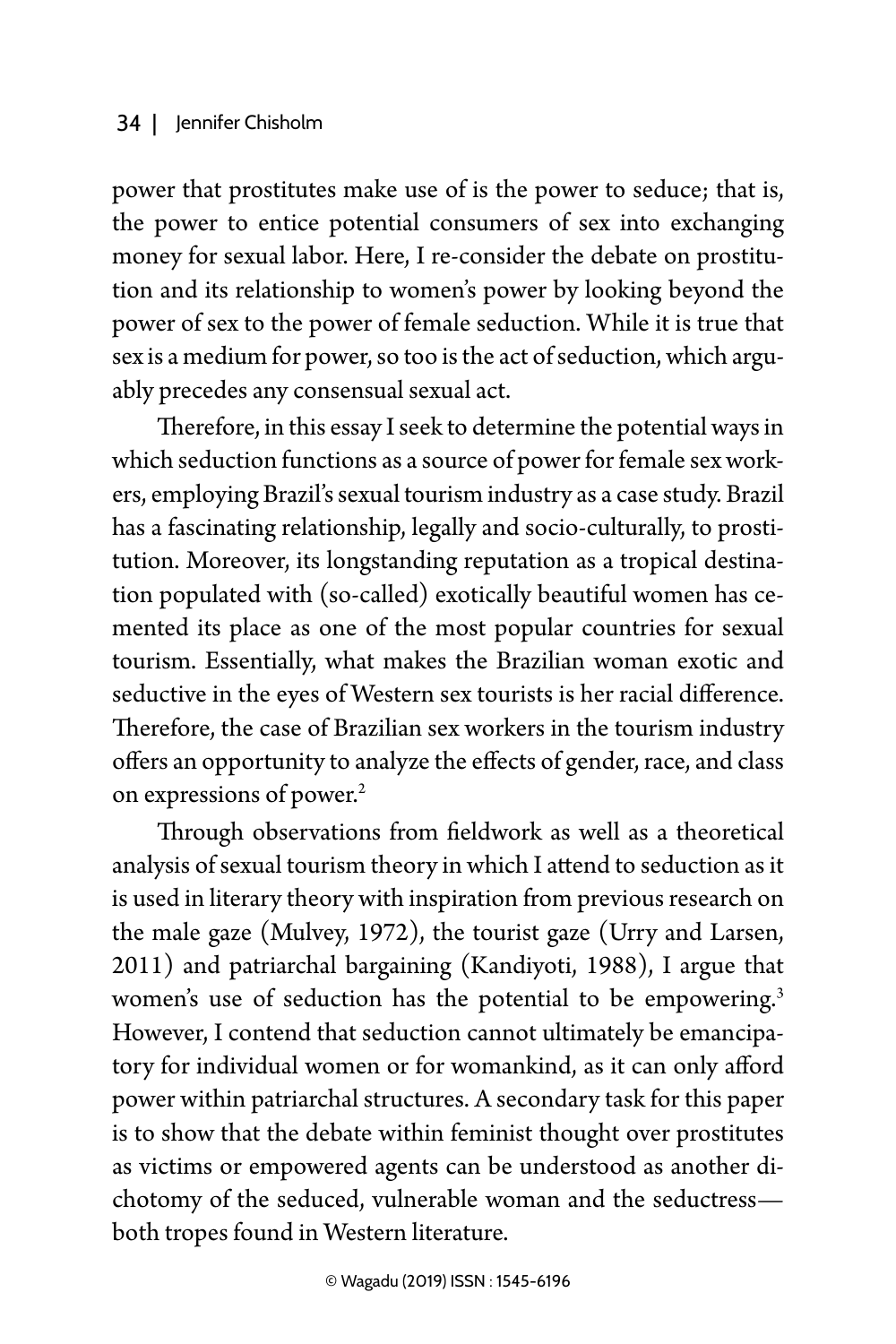### 34 | Jennifer Chisholm

power that prostitutes make use of is the power to seduce; that is, the power to entice potential consumers of sex into exchanging money for sexual labor. Here, I re-consider the debate on prostitution and its relationship to women's power by looking beyond the power of sex to the power of female seduction. While it is true that sex is a medium for power, so too is the act of seduction, which arguably precedes any consensual sexual act.

Therefore, in this essay I seek to determine the potential ways in which seduction functions as a source of power for female sex workers, employing Brazil's sexual tourism industry as a case study. Brazil has a fascinating relationship, legally and socio-culturally, to prostitution. Moreover, its longstanding reputation as a tropical destination populated with (so-called) exotically beautiful women has cemented its place as one of the most popular countries for sexual tourism. Essentially, what makes the Brazilian woman exotic and seductive in the eyes of Western sex tourists is her racial difference. Therefore, the case of Brazilian sex workers in the tourism industry offers an opportunity to analyze the effects of gender, race, and class on expressions of power.<sup>2</sup>

Through observations from fieldwork as well as a theoretical analysis of sexual tourism theory in which I attend to seduction as it is used in literary theory with inspiration from previous research on the male gaze (Mulvey, 1972), the tourist gaze (Urry and Larsen, 2011) and patriarchal bargaining (Kandiyoti, 1988), I argue that women's use of seduction has the potential to be empowering.<sup>3</sup> However, I contend that seduction cannot ultimately be emancipatory for individual women or for womankind, as it can only afford power within patriarchal structures. A secondary task for this paper is to show that the debate within feminist thought over prostitutes as victims or empowered agents can be understood as another dichotomy of the seduced, vulnerable woman and the seductress both tropes found in Western literature.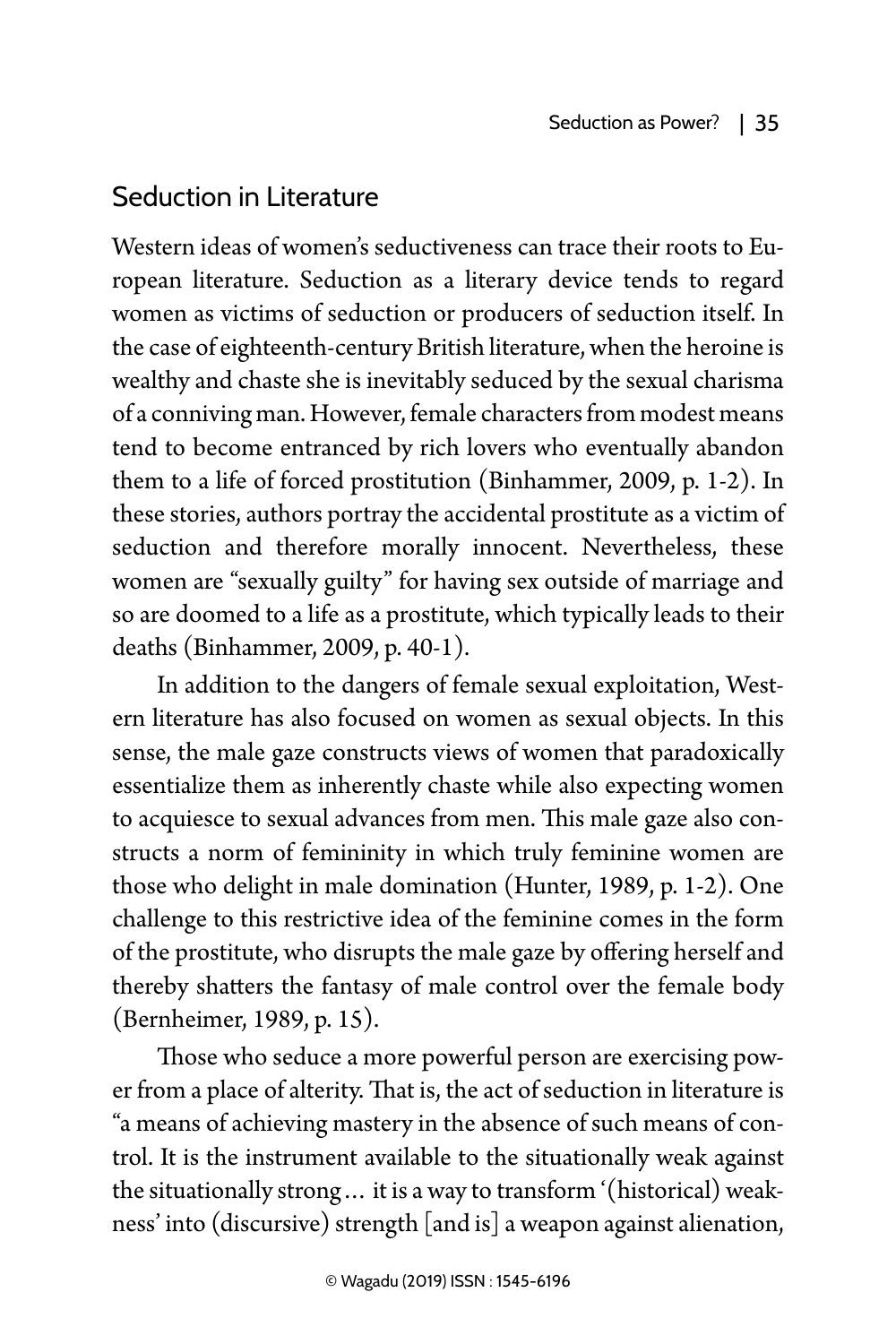## Seduction in Literature

Western ideas of women's seductiveness can trace their roots to European literature. Seduction as a literary device tends to regard women as victims of seduction or producers of seduction itself. In the case of eighteenth-century British literature, when the heroine is wealthy and chaste she is inevitably seduced by the sexual charisma of a conniving man. However, female characters from modest means tend to become entranced by rich lovers who eventually abandon them to a life of forced prostitution (Binhammer, 2009, p. 1-2). In these stories, authors portray the accidental prostitute as a victim of seduction and therefore morally innocent. Nevertheless, these women are "sexually guilty" for having sex outside of marriage and so are doomed to a life as a prostitute, which typically leads to their deaths (Binhammer, 2009, p. 40-1).

In addition to the dangers of female sexual exploitation, Western literature has also focused on women as sexual objects. In this sense, the male gaze constructs views of women that paradoxically essentialize them as inherently chaste while also expecting women to acquiesce to sexual advances from men. This male gaze also constructs a norm of femininity in which truly feminine women are those who delight in male domination (Hunter, 1989, p. 1-2). One challenge to this restrictive idea of the feminine comes in the form of the prostitute, who disrupts the male gaze by offering herself and thereby shatters the fantasy of male control over the female body (Bernheimer, 1989, p. 15).

Those who seduce a more powerful person are exercising power from a place of alterity. That is, the act of seduction in literature is "a means of achieving mastery in the absence of such means of control. It is the instrument available to the situationally weak against the situationally strong… it is a way to transform '(historical) weakness' into (discursive) strength [and is] a weapon against alienation,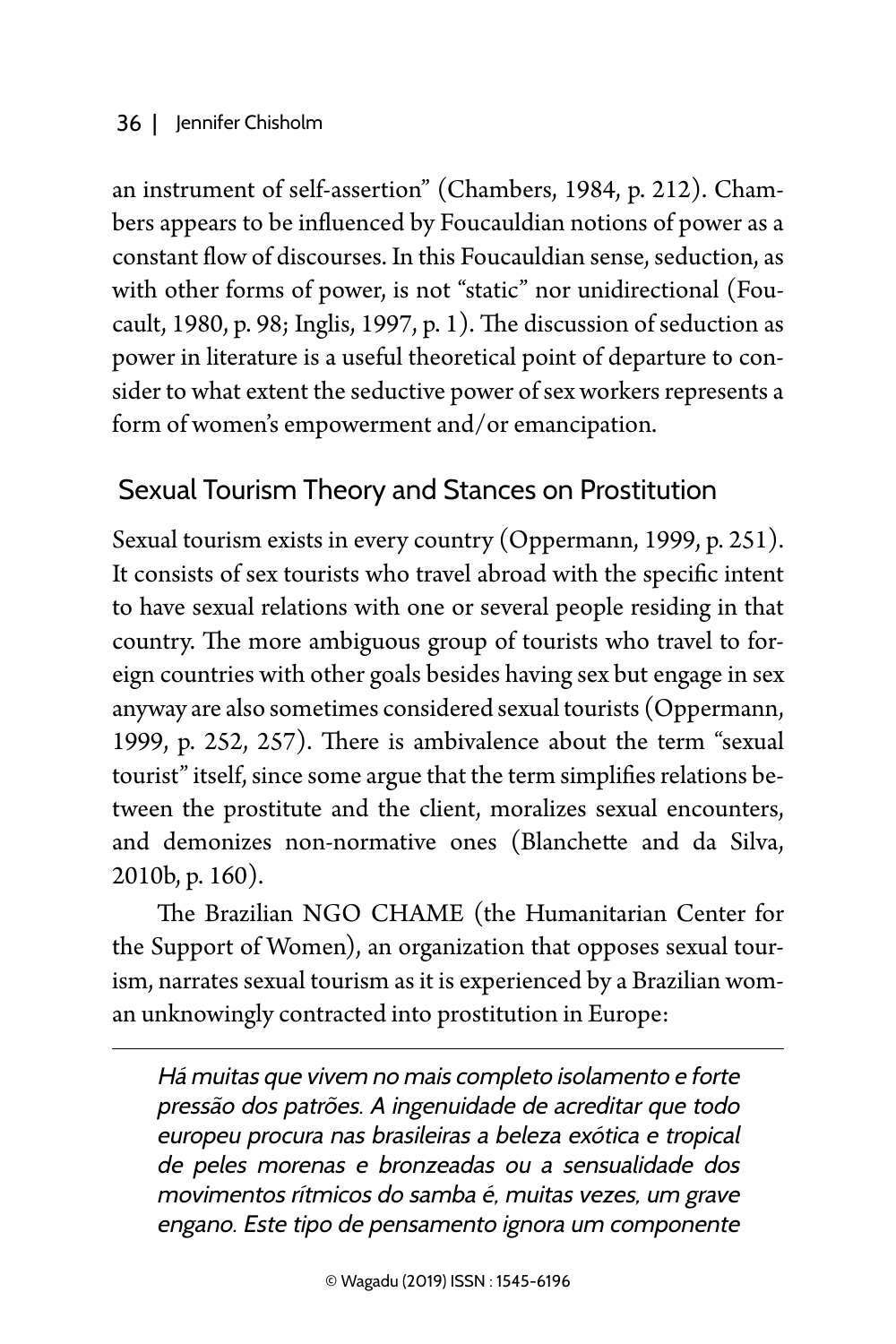an instrument of self-assertion" (Chambers, 1984, p. 212). Chambers appears to be influenced by Foucauldian notions of power as a constant flow of discourses. In this Foucauldian sense, seduction, as with other forms of power, is not "static" nor unidirectional (Foucault, 1980, p. 98; Inglis, 1997, p. 1). The discussion of seduction as power in literature is a useful theoretical point of departure to consider to what extent the seductive power of sex workers represents a form of women's empowerment and/or emancipation.

# Sexual Tourism Theory and Stances on Prostitution

Sexual tourism exists in every country (Oppermann, 1999, p. 251). It consists of sex tourists who travel abroad with the specific intent to have sexual relations with one or several people residing in that country. The more ambiguous group of tourists who travel to foreign countries with other goals besides having sex but engage in sex anyway are also sometimes considered sexual tourists (Oppermann, 1999, p. 252, 257). There is ambivalence about the term "sexual tourist" itself, since some argue that the term simplifies relations between the prostitute and the client, moralizes sexual encounters, and demonizes non-normative ones (Blanchette and da Silva, 2010b, p. 160).

The Brazilian NGO CHAME (the Humanitarian Center for the Support of Women), an organization that opposes sexual tourism, narrates sexual tourism as it is experienced by a Brazilian woman unknowingly contracted into prostitution in Europe:

Há muitas que vivem no mais completo isolamento e forte pressão dos patrões. A ingenuidade de acreditar que todo europeu procura nas brasileiras a beleza exótica e tropical de peles morenas e bronzeadas ou a sensualidade dos movimentos rítmicos do samba é, muitas vezes, um grave engano. Este tipo de pensamento ignora um componente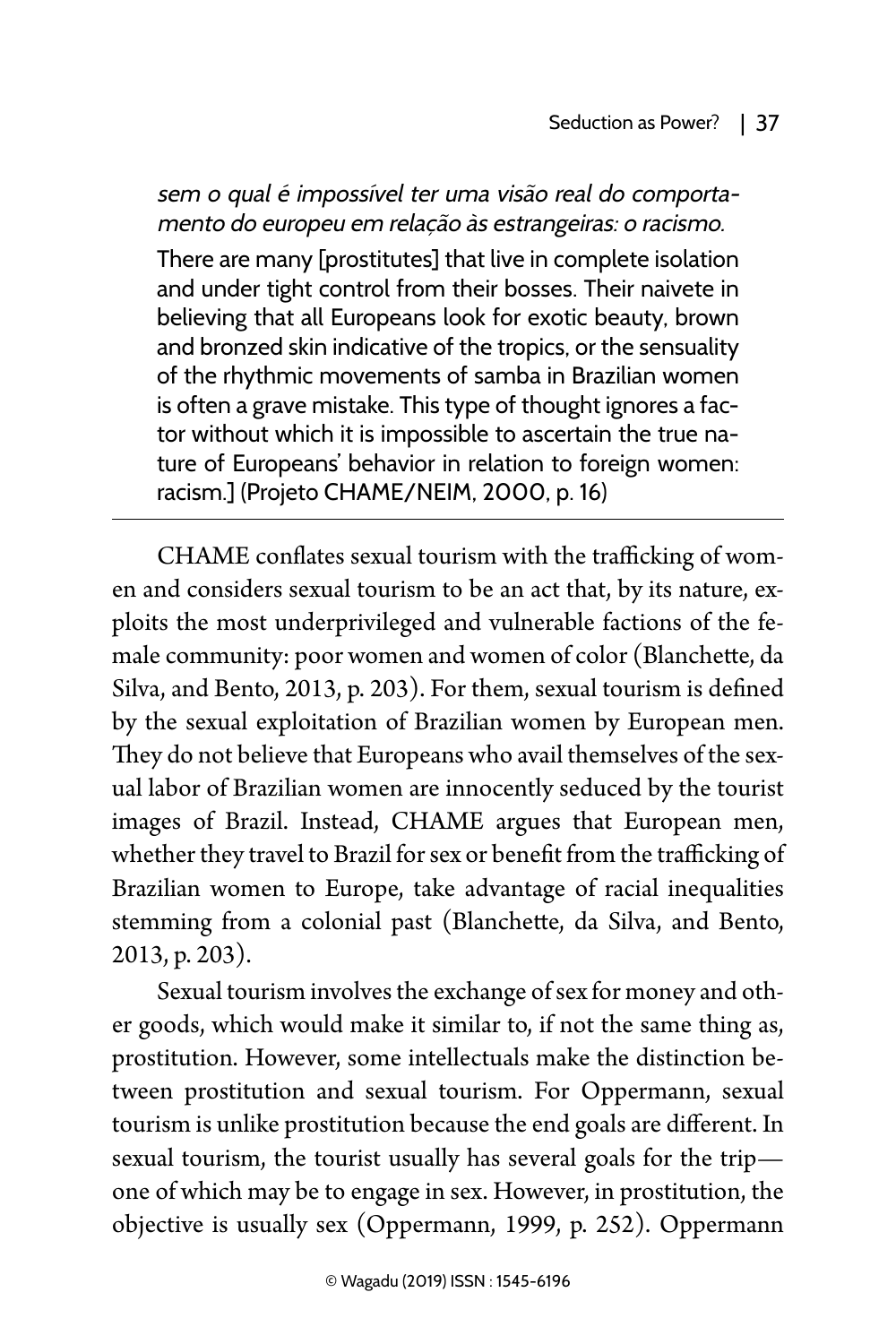sem o qual é impossível ter uma visão real do comportamento do europeu em relação às estrangeiras: o racismo. There are many [prostitutes] that live in complete isolation and under tight control from their bosses. Their naivete in believing that all Europeans look for exotic beauty, brown and bronzed skin indicative of the tropics, or the sensuality of the rhythmic movements of samba in Brazilian women is often a grave mistake. This type of thought ignores a fac-

tor without which it is impossible to ascertain the true nature of Europeans' behavior in relation to foreign women: racism.] (Projeto CHAME/NEIM, 2000, p. 16)

CHAME conflates sexual tourism with the trafficking of women and considers sexual tourism to be an act that, by its nature, exploits the most underprivileged and vulnerable factions of the female community: poor women and women of color (Blanchette, da Silva, and Bento, 2013, p. 203). For them, sexual tourism is defined by the sexual exploitation of Brazilian women by European men. They do not believe that Europeans who avail themselves of the sexual labor of Brazilian women are innocently seduced by the tourist images of Brazil. Instead, CHAME argues that European men, whether they travel to Brazil for sex or benefit from the trafficking of Brazilian women to Europe, take advantage of racial inequalities stemming from a colonial past (Blanchette, da Silva, and Bento, 2013, p. 203).

Sexual tourism involves the exchange of sex for money and other goods, which would make it similar to, if not the same thing as, prostitution. However, some intellectuals make the distinction between prostitution and sexual tourism. For Oppermann, sexual tourism is unlike prostitution because the end goals are different. In sexual tourism, the tourist usually has several goals for the trip one of which may be to engage in sex. However, in prostitution, the objective is usually sex (Oppermann, 1999, p. 252). Oppermann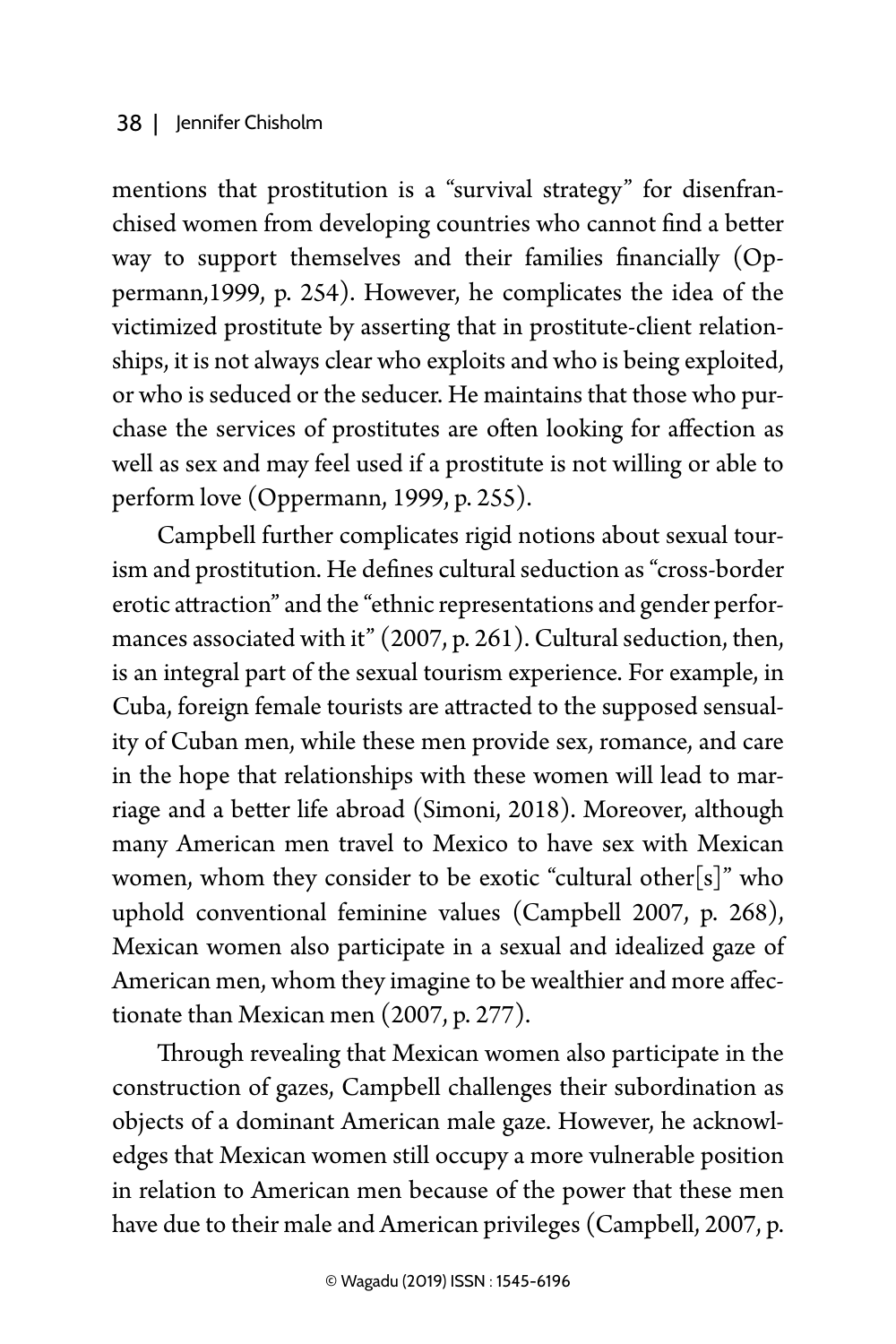mentions that prostitution is a "survival strategy" for disenfranchised women from developing countries who cannot find a better way to support themselves and their families financially (Oppermann,1999, p. 254). However, he complicates the idea of the victimized prostitute by asserting that in prostitute-client relationships, it is not always clear who exploits and who is being exploited, or who is seduced or the seducer. He maintains that those who purchase the services of prostitutes are often looking for affection as well as sex and may feel used if a prostitute is not willing or able to perform love (Oppermann, 1999, p. 255).

Campbell further complicates rigid notions about sexual tourism and prostitution. He defines cultural seduction as "cross-border erotic attraction" and the "ethnic representations and gender performances associated with it" (2007, p. 261). Cultural seduction, then, is an integral part of the sexual tourism experience. For example, in Cuba, foreign female tourists are attracted to the supposed sensuality of Cuban men, while these men provide sex, romance, and care in the hope that relationships with these women will lead to marriage and a better life abroad (Simoni, 2018). Moreover, although many American men travel to Mexico to have sex with Mexican women, whom they consider to be exotic "cultural other[s]" who uphold conventional feminine values (Campbell 2007, p. 268), Mexican women also participate in a sexual and idealized gaze of American men, whom they imagine to be wealthier and more affectionate than Mexican men (2007, p. 277).

Through revealing that Mexican women also participate in the construction of gazes, Campbell challenges their subordination as objects of a dominant American male gaze. However, he acknowledges that Mexican women still occupy a more vulnerable position in relation to American men because of the power that these men have due to their male and American privileges (Campbell, 2007, p.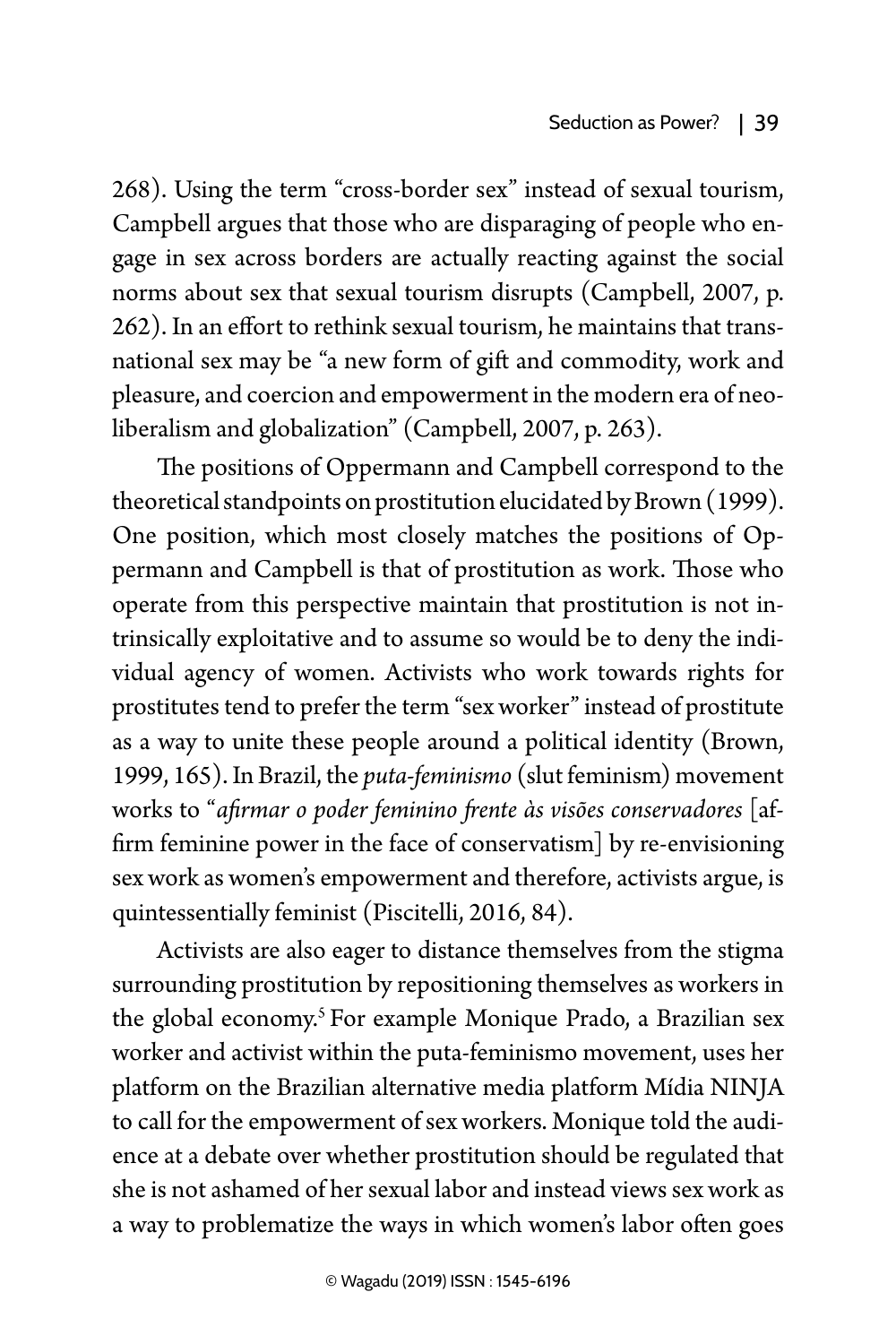268). Using the term "cross-border sex" instead of sexual tourism, Campbell argues that those who are disparaging of people who engage in sex across borders are actually reacting against the social norms about sex that sexual tourism disrupts (Campbell, 2007, p. 262). In an effort to rethink sexual tourism, he maintains that transnational sex may be "a new form of gift and commodity, work and pleasure, and coercion and empowerment in the modern era of neoliberalism and globalization" (Campbell, 2007, p. 263).

The positions of Oppermann and Campbell correspond to the theoretical standpoints on prostitution elucidated by Brown (1999). One position, which most closely matches the positions of Oppermann and Campbell is that of prostitution as work. Those who operate from this perspective maintain that prostitution is not intrinsically exploitative and to assume so would be to deny the individual agency of women. Activists who work towards rights for prostitutes tend to prefer the term "sex worker" instead of prostitute as a way to unite these people around a political identity (Brown, 1999, 165). In Brazil, the *puta-feminismo* (slut feminism) movement works to "*afirmar o poder feminino frente às visões conservadores* [affirm feminine power in the face of conservatism] by re-envisioning sex work as women's empowerment and therefore, activists argue, is quintessentially feminist (Piscitelli, 2016, 84).

Activists are also eager to distance themselves from the stigma surrounding prostitution by repositioning themselves as workers in the global economy.<sup>5</sup> For example Monique Prado, a Brazilian sex worker and activist within the puta-feminismo movement, uses her platform on the Brazilian alternative media platform Mídia NINJA to call for the empowerment of sex workers. Monique told the audience at a debate over whether prostitution should be regulated that she is not ashamed of her sexual labor and instead views sex work as a way to problematize the ways in which women's labor often goes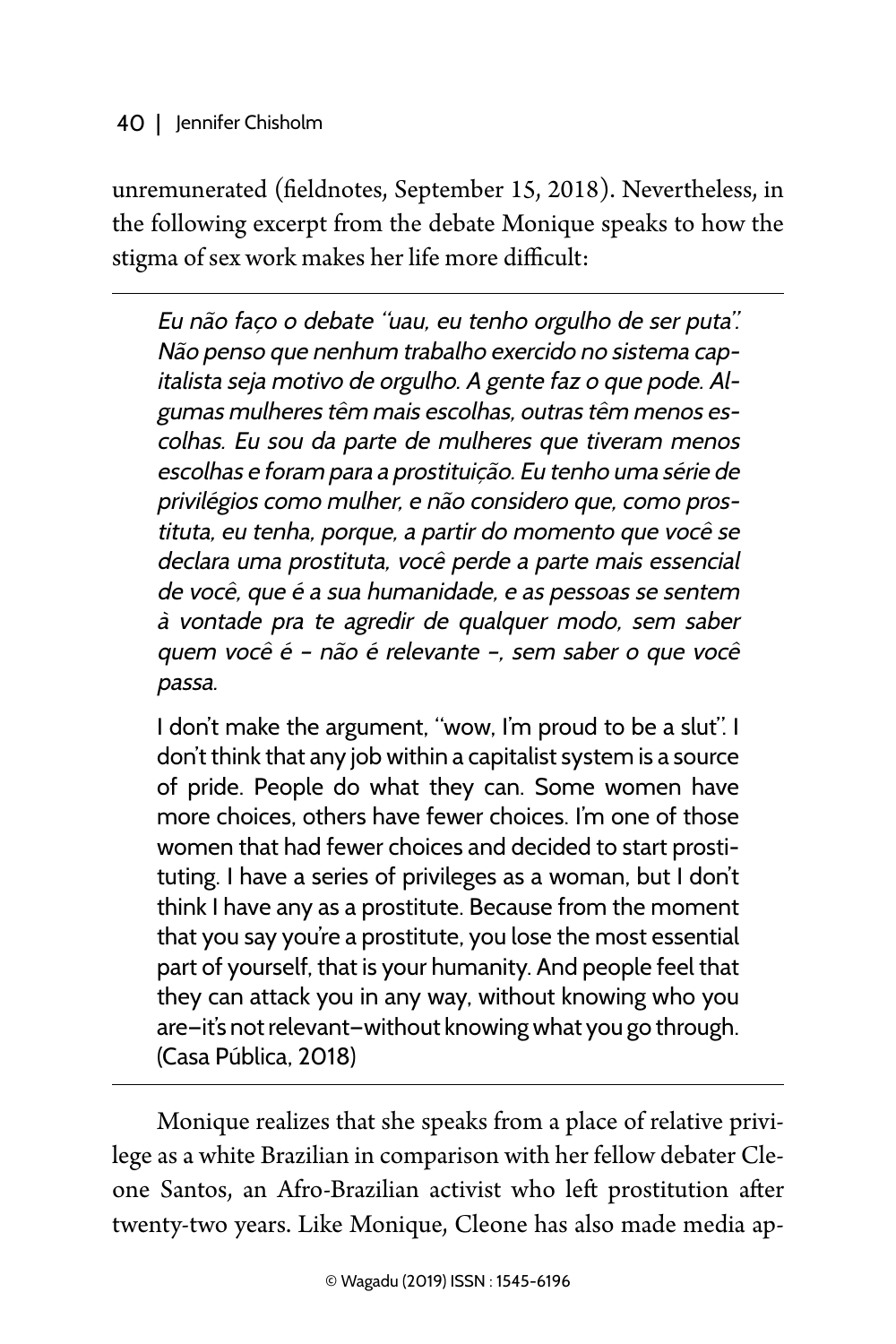unremunerated (fieldnotes, September 15, 2018). Nevertheless, in the following excerpt from the debate Monique speaks to how the stigma of sex work makes her life more difficult:

Eu não faço o debate "uau, eu tenho orgulho de ser puta". Não penso que nenhum trabalho exercido no sistema capitalista seja motivo de orgulho. A gente faz o que pode. Algumas mulheres têm mais escolhas, outras têm menos escolhas. Eu sou da parte de mulheres que tiveram menos escolhas e foram para a prostituição. Eu tenho uma série de privilégios como mulher, e não considero que, como prostituta, eu tenha, porque, a partir do momento que você se declara uma prostituta, você perde a parte mais essencial de você, que é a sua humanidade, e as pessoas se sentem à vontade pra te agredir de qualquer modo, sem saber quem você é – não é relevante –, sem saber o que você passa.

I don't make the argument, "wow, I'm proud to be a slut". I don't think that any job within a capitalist system is a source of pride. People do what they can. Some women have more choices, others have fewer choices. I'm one of those women that had fewer choices and decided to start prostituting. I have a series of privileges as a woman, but I don't think I have any as a prostitute. Because from the moment that you say you're a prostitute, you lose the most essential part of yourself, that is your humanity. And people feel that they can attack you in any way, without knowing who you are—it's not relevant—without knowing what you go through. (Casa Pública, 2018)

Monique realizes that she speaks from a place of relative privilege as a white Brazilian in comparison with her fellow debater Cleone Santos, an Afro-Brazilian activist who left prostitution after twenty-two years. Like Monique, Cleone has also made media ap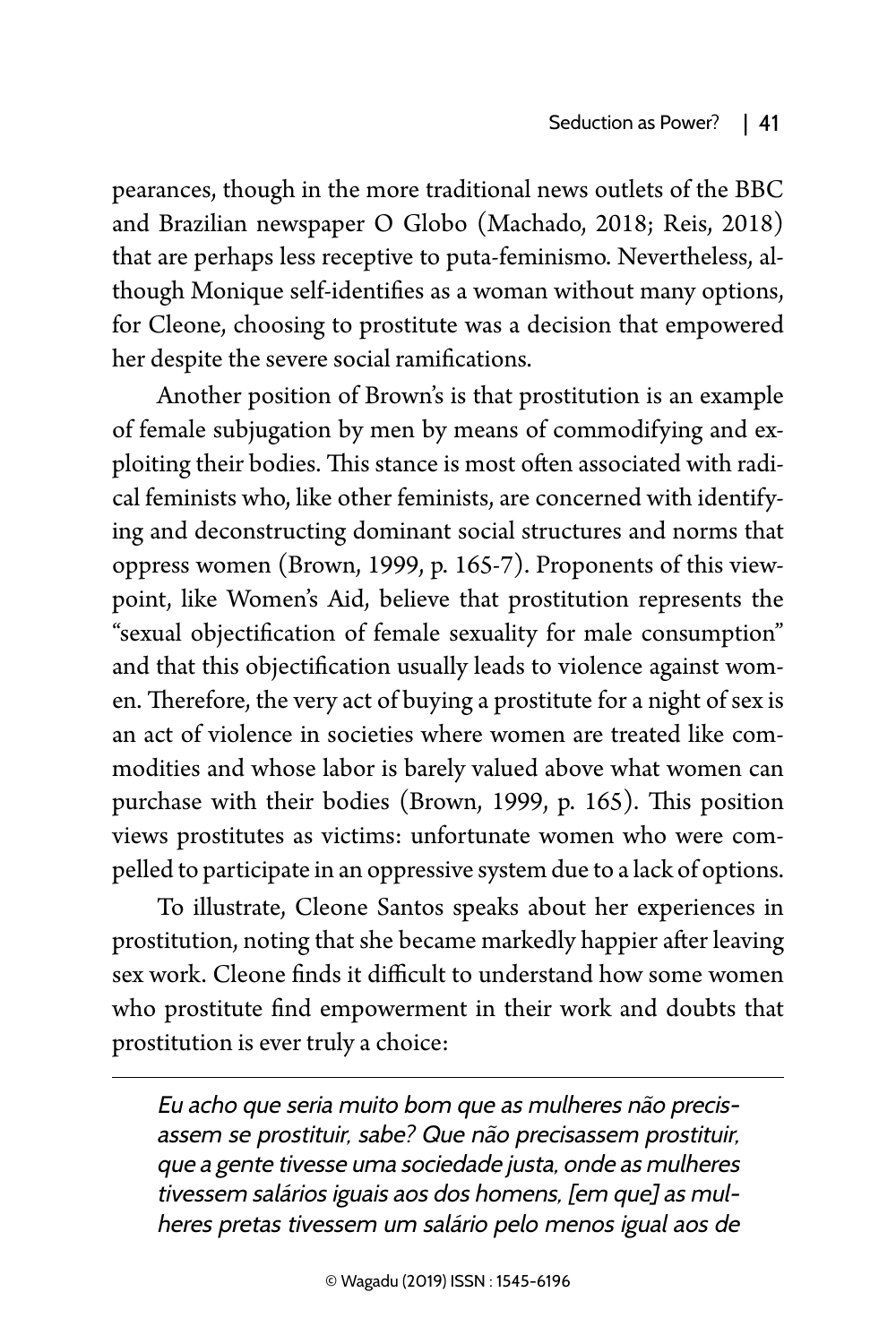pearances, though in the more traditional news outlets of the BBC and Brazilian newspaper O Globo (Machado, 2018; Reis, 2018) that are perhaps less receptive to puta-feminismo. Nevertheless, although Monique self-identifies as a woman without many options, for Cleone, choosing to prostitute was a decision that empowered her despite the severe social ramifications.

Another position of Brown's is that prostitution is an example of female subjugation by men by means of commodifying and exploiting their bodies. This stance is most often associated with radical feminists who, like other feminists, are concerned with identifying and deconstructing dominant social structures and norms that oppress women (Brown, 1999, p. 165-7). Proponents of this viewpoint, like Women's Aid, believe that prostitution represents the "sexual objectification of female sexuality for male consumption" and that this objectification usually leads to violence against women. Therefore, the very act of buying a prostitute for a night of sex is an act of violence in societies where women are treated like commodities and whose labor is barely valued above what women can purchase with their bodies (Brown, 1999, p. 165). This position views prostitutes as victims: unfortunate women who were compelled to participate in an oppressive system due to a lack of options.

To illustrate, Cleone Santos speaks about her experiences in prostitution, noting that she became markedly happier after leaving sex work. Cleone finds it difficult to understand how some women who prostitute find empowerment in their work and doubts that prostitution is ever truly a choice:

Eu acho que seria muito bom que as mulheres não precisassem se prostituir, sabe? Que não precisassem prostituir, que a gente tivesse uma sociedade justa, onde as mulheres tivessem salários iguais aos dos homens, [em que] as mulheres pretas tivessem um salário pelo menos igual aos de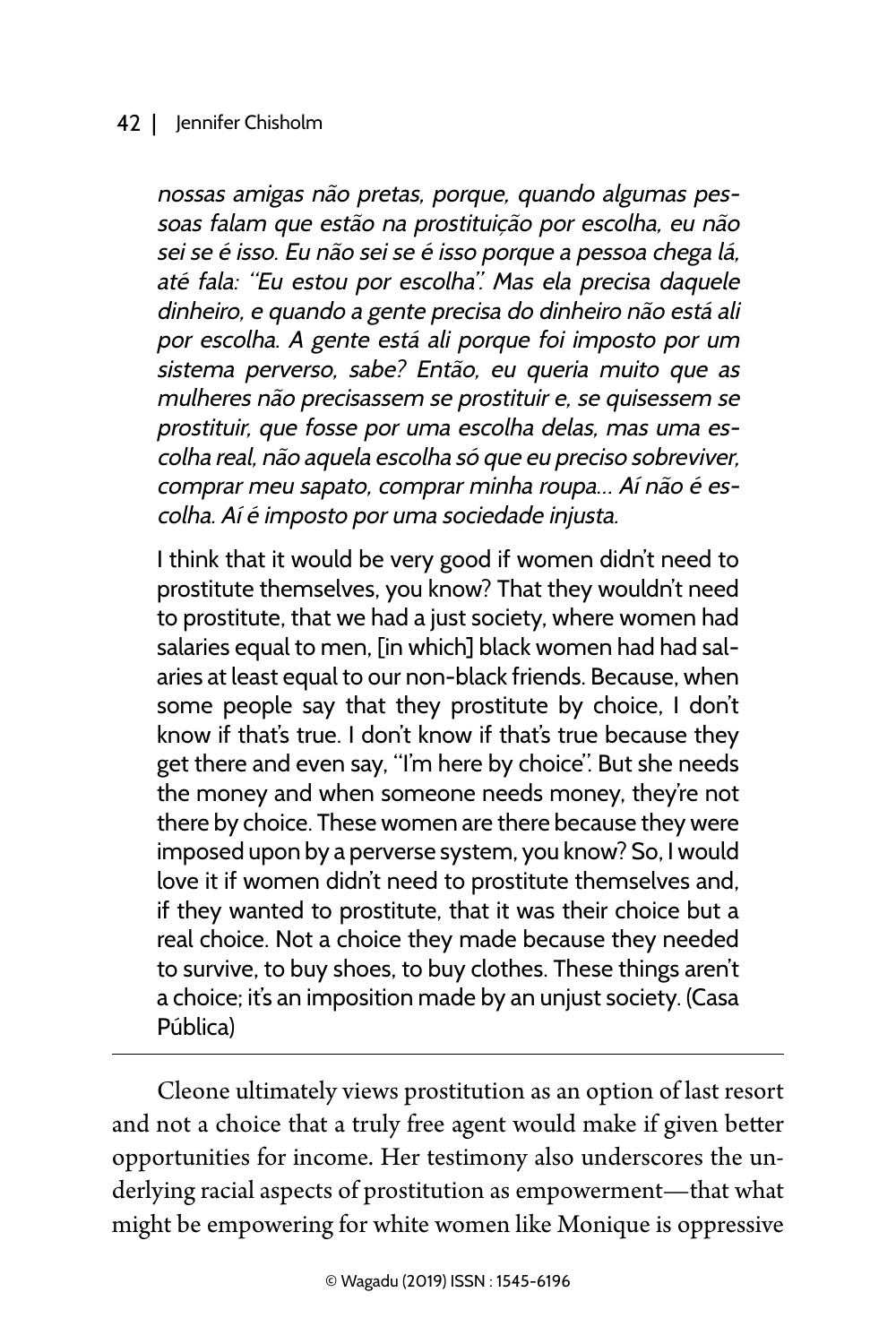### 42 | Jennifer Chisholm

nossas amigas não pretas, porque, quando algumas pessoas falam que estão na prostituição por escolha, eu não sei se é isso. Eu não sei se é isso porque a pessoa chega lá, até fala: "Eu estou por escolha". Mas ela precisa daquele dinheiro, e quando a gente precisa do dinheiro não está ali por escolha. A gente está ali porque foi imposto por um sistema perverso, sabe? Então, eu queria muito que as mulheres não precisassem se prostituir e, se quisessem se prostituir, que fosse por uma escolha delas, mas uma escolha real, não aquela escolha só que eu preciso sobreviver, comprar meu sapato, comprar minha roupa… Aí não é escolha. Aí é imposto por uma sociedade injusta.

I think that it would be very good if women didn't need to prostitute themselves, you know? That they wouldn't need to prostitute, that we had a just society, where women had salaries equal to men, [in which] black women had had salaries at least equal to our non-black friends. Because, when some people say that they prostitute by choice, I don't know if that's true. I don't know if that's true because they get there and even say, "I'm here by choice". But she needs the money and when someone needs money, they're not there by choice. These women are there because they were imposed upon by a perverse system, you know? So, I would love it if women didn't need to prostitute themselves and, if they wanted to prostitute, that it was their choice but a real choice. Not a choice they made because they needed to survive, to buy shoes, to buy clothes. These things aren't a choice; it's an imposition made by an unjust society. (Casa Pública)

Cleone ultimately views prostitution as an option of last resort and not a choice that a truly free agent would make if given better opportunities for income. Her testimony also underscores the underlying racial aspects of prostitution as empowerment—that what might be empowering for white women like Monique is oppressive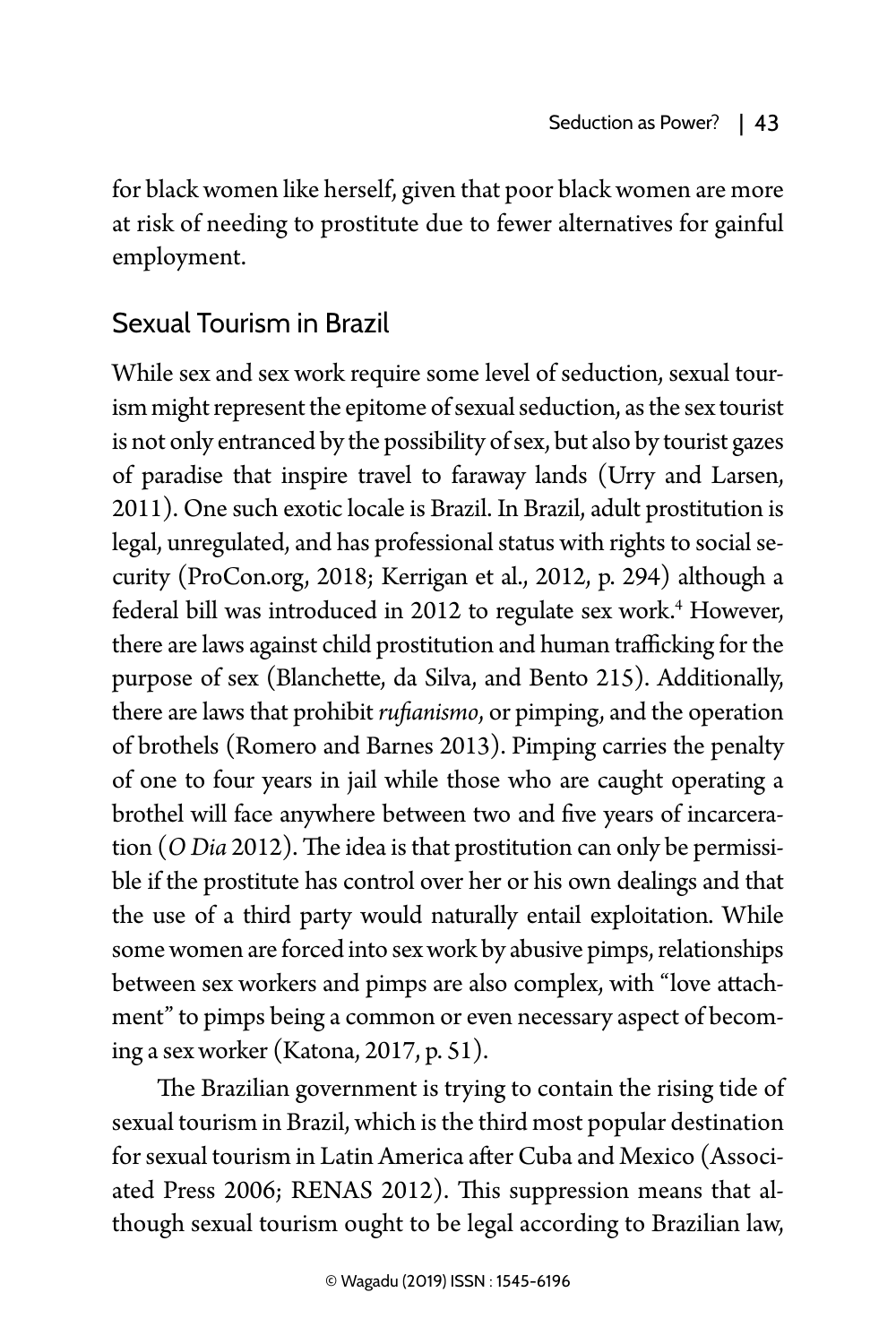for black women like herself, given that poor black women are more at risk of needing to prostitute due to fewer alternatives for gainful employment.

# Sexual Tourism in Brazil

While sex and sex work require some level of seduction, sexual tourism might represent the epitome of sexual seduction, as the sex tourist is not only entranced by the possibility of sex, but also by tourist gazes of paradise that inspire travel to faraway lands (Urry and Larsen, 2011). One such exotic locale is Brazil. In Brazil, adult prostitution is legal, unregulated, and has professional status with rights to social security (ProCon.org, 2018; Kerrigan et al., 2012, p. 294) although a federal bill was introduced in 2012 to regulate sex work.4 However, there are laws against child prostitution and human trafficking for the purpose of sex (Blanchette, da Silva, and Bento 215). Additionally, there are laws that prohibit *rufianismo*, or pimping, and the operation of brothels (Romero and Barnes 2013). Pimping carries the penalty of one to four years in jail while those who are caught operating a brothel will face anywhere between two and five years of incarceration (*O Dia* 2012). The idea is that prostitution can only be permissible if the prostitute has control over her or his own dealings and that the use of a third party would naturally entail exploitation. While some women are forced into sex work by abusive pimps, relationships between sex workers and pimps are also complex, with "love attachment" to pimps being a common or even necessary aspect of becoming a sex worker (Katona, 2017, p. 51).

The Brazilian government is trying to contain the rising tide of sexual tourism in Brazil, which is the third most popular destination for sexual tourism in Latin America after Cuba and Mexico (Associated Press 2006; RENAS 2012). This suppression means that although sexual tourism ought to be legal according to Brazilian law,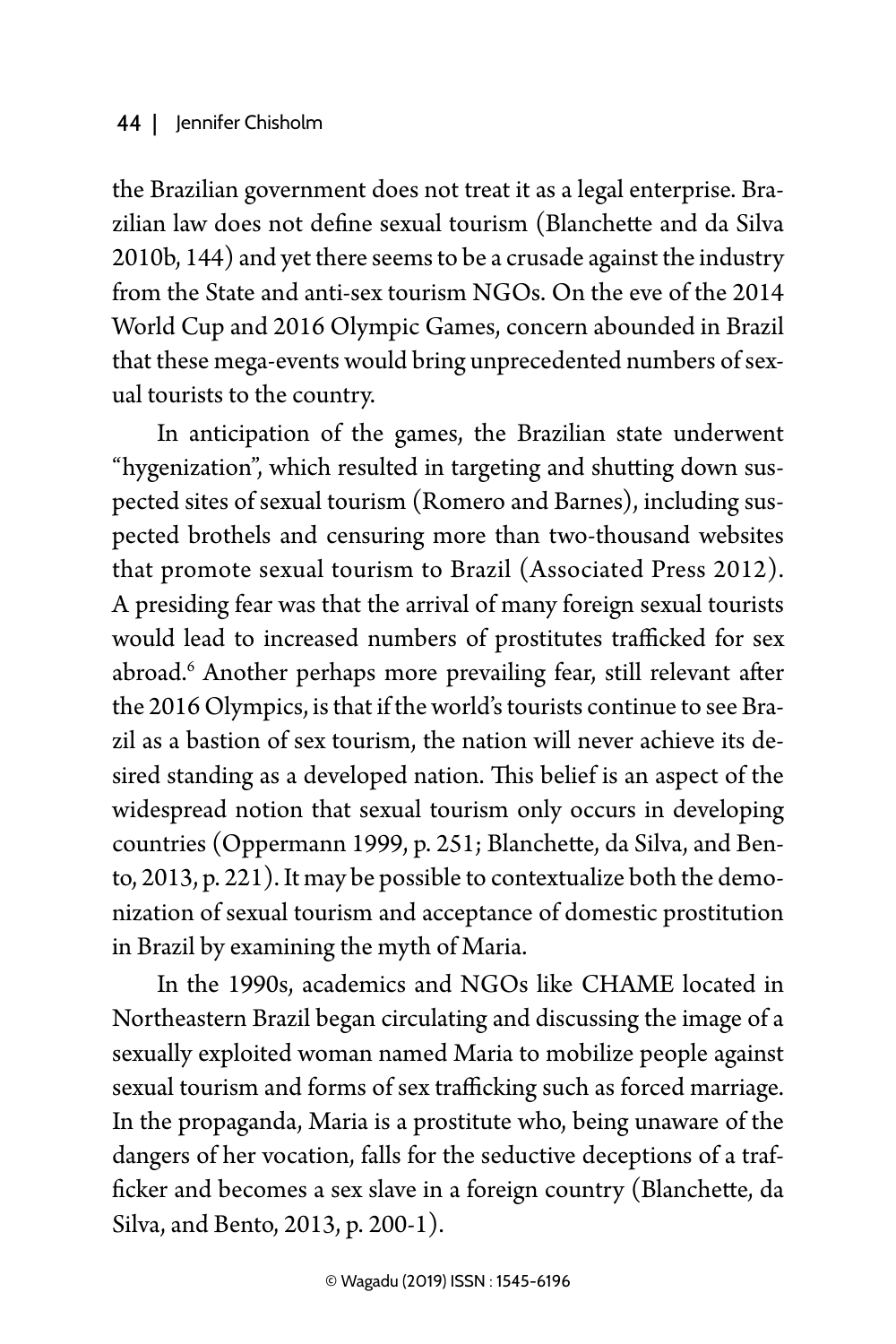### 44 | Jennifer Chisholm

the Brazilian government does not treat it as a legal enterprise. Brazilian law does not define sexual tourism (Blanchette and da Silva 2010b, 144) and yet there seems to be a crusade against the industry from the State and anti-sex tourism NGOs. On the eve of the 2014 World Cup and 2016 Olympic Games, concern abounded in Brazil that these mega-events would bring unprecedented numbers of sexual tourists to the country.

In anticipation of the games, the Brazilian state underwent "hygenization", which resulted in targeting and shutting down suspected sites of sexual tourism (Romero and Barnes), including suspected brothels and censuring more than two-thousand websites that promote sexual tourism to Brazil (Associated Press 2012). A presiding fear was that the arrival of many foreign sexual tourists would lead to increased numbers of prostitutes trafficked for sex abroad.6 Another perhaps more prevailing fear, still relevant after the 2016 Olympics, is that if the world's tourists continue to see Brazil as a bastion of sex tourism, the nation will never achieve its desired standing as a developed nation. This belief is an aspect of the widespread notion that sexual tourism only occurs in developing countries (Oppermann 1999, p. 251; Blanchette, da Silva, and Bento, 2013, p. 221). It may be possible to contextualize both the demonization of sexual tourism and acceptance of domestic prostitution in Brazil by examining the myth of Maria.

In the 1990s, academics and NGOs like CHAME located in Northeastern Brazil began circulating and discussing the image of a sexually exploited woman named Maria to mobilize people against sexual tourism and forms of sex trafficking such as forced marriage. In the propaganda, Maria is a prostitute who, being unaware of the dangers of her vocation, falls for the seductive deceptions of a trafficker and becomes a sex slave in a foreign country (Blanchette, da Silva, and Bento, 2013, p. 200-1).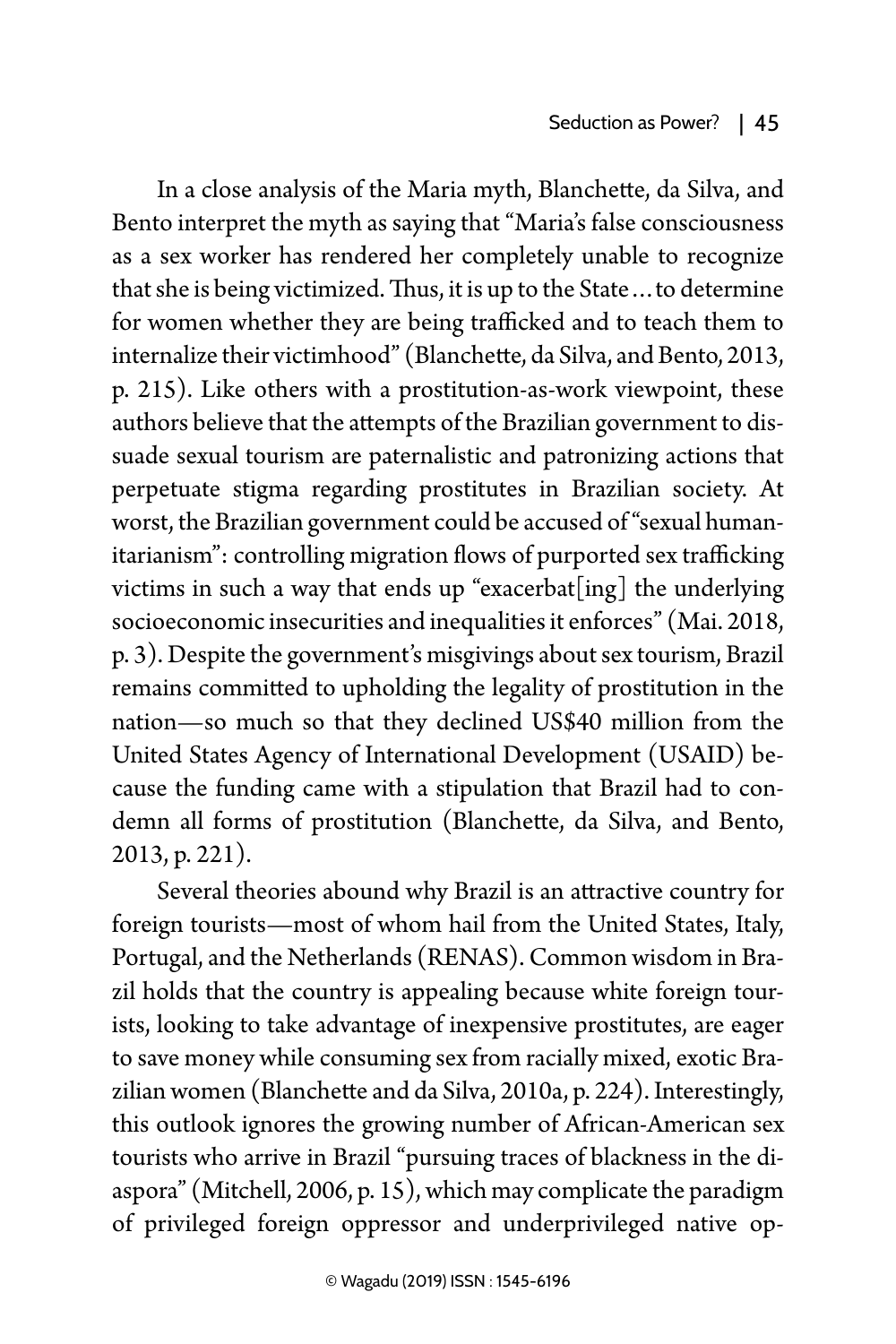In a close analysis of the Maria myth, Blanchette, da Silva, and Bento interpret the myth as saying that "Maria's false consciousness as a sex worker has rendered her completely unable to recognize that she is being victimized. Thus, it is up to the State…to determine for women whether they are being trafficked and to teach them to internalize their victimhood" (Blanchette, da Silva, and Bento, 2013, p. 215). Like others with a prostitution-as-work viewpoint, these authors believe that the attempts of the Brazilian government to dissuade sexual tourism are paternalistic and patronizing actions that perpetuate stigma regarding prostitutes in Brazilian society. At worst, the Brazilian government could be accused of "sexual humanitarianism": controlling migration flows of purported sex trafficking victims in such a way that ends up "exacerbat[ing] the underlying socioeconomic insecurities and inequalities it enforces" (Mai. 2018, p. 3). Despite the government's misgivings about sex tourism, Brazil remains committed to upholding the legality of prostitution in the nation—so much so that they declined US\$40 million from the United States Agency of International Development (USAID) because the funding came with a stipulation that Brazil had to condemn all forms of prostitution (Blanchette, da Silva, and Bento, 2013, p. 221).

Several theories abound why Brazil is an attractive country for foreign tourists—most of whom hail from the United States, Italy, Portugal, and the Netherlands (RENAS). Common wisdom in Brazil holds that the country is appealing because white foreign tourists, looking to take advantage of inexpensive prostitutes, are eager to save money while consuming sex from racially mixed, exotic Brazilian women (Blanchette and da Silva, 2010a, p. 224). Interestingly, this outlook ignores the growing number of African-American sex tourists who arrive in Brazil "pursuing traces of blackness in the diaspora" (Mitchell, 2006, p. 15), which may complicate the paradigm of privileged foreign oppressor and underprivileged native op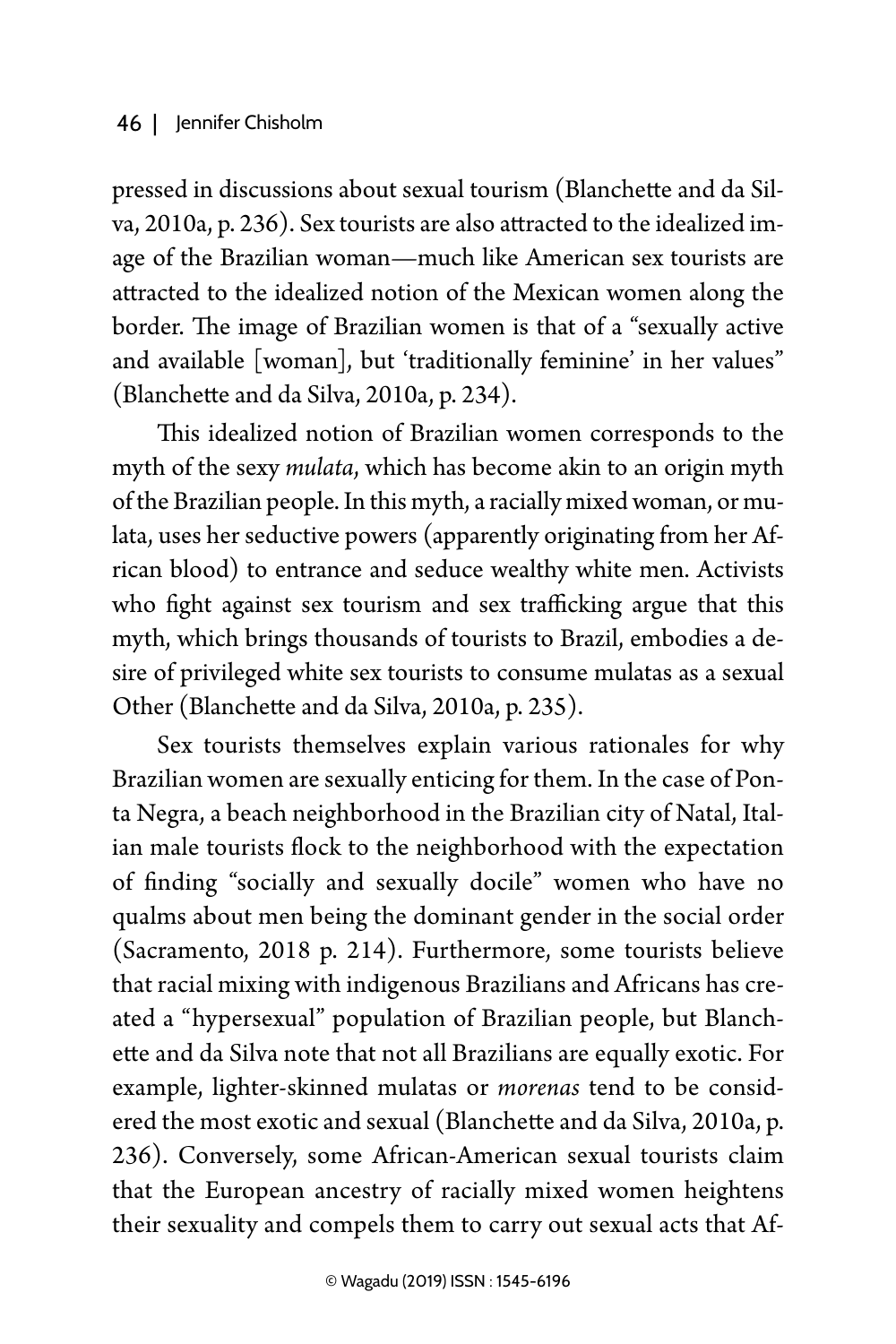pressed in discussions about sexual tourism (Blanchette and da Silva, 2010a, p. 236). Sex tourists are also attracted to the idealized image of the Brazilian woman—much like American sex tourists are attracted to the idealized notion of the Mexican women along the border. The image of Brazilian women is that of a "sexually active and available [woman], but 'traditionally feminine' in her values" (Blanchette and da Silva, 2010a, p. 234).

This idealized notion of Brazilian women corresponds to the myth of the sexy *mulata*, which has become akin to an origin myth of the Brazilian people. In this myth, a racially mixed woman, or mulata, uses her seductive powers (apparently originating from her African blood) to entrance and seduce wealthy white men. Activists who fight against sex tourism and sex trafficking argue that this myth, which brings thousands of tourists to Brazil, embodies a desire of privileged white sex tourists to consume mulatas as a sexual Other (Blanchette and da Silva, 2010a, p. 235).

Sex tourists themselves explain various rationales for why Brazilian women are sexually enticing for them. In the case of Ponta Negra, a beach neighborhood in the Brazilian city of Natal, Italian male tourists flock to the neighborhood with the expectation of finding "socially and sexually docile" women who have no qualms about men being the dominant gender in the social order (Sacramento, 2018 p. 214). Furthermore, some tourists believe that racial mixing with indigenous Brazilians and Africans has created a "hypersexual" population of Brazilian people, but Blanchette and da Silva note that not all Brazilians are equally exotic. For example, lighter-skinned mulatas or *morenas* tend to be considered the most exotic and sexual (Blanchette and da Silva, 2010a, p. 236). Conversely, some African-American sexual tourists claim that the European ancestry of racially mixed women heightens their sexuality and compels them to carry out sexual acts that Af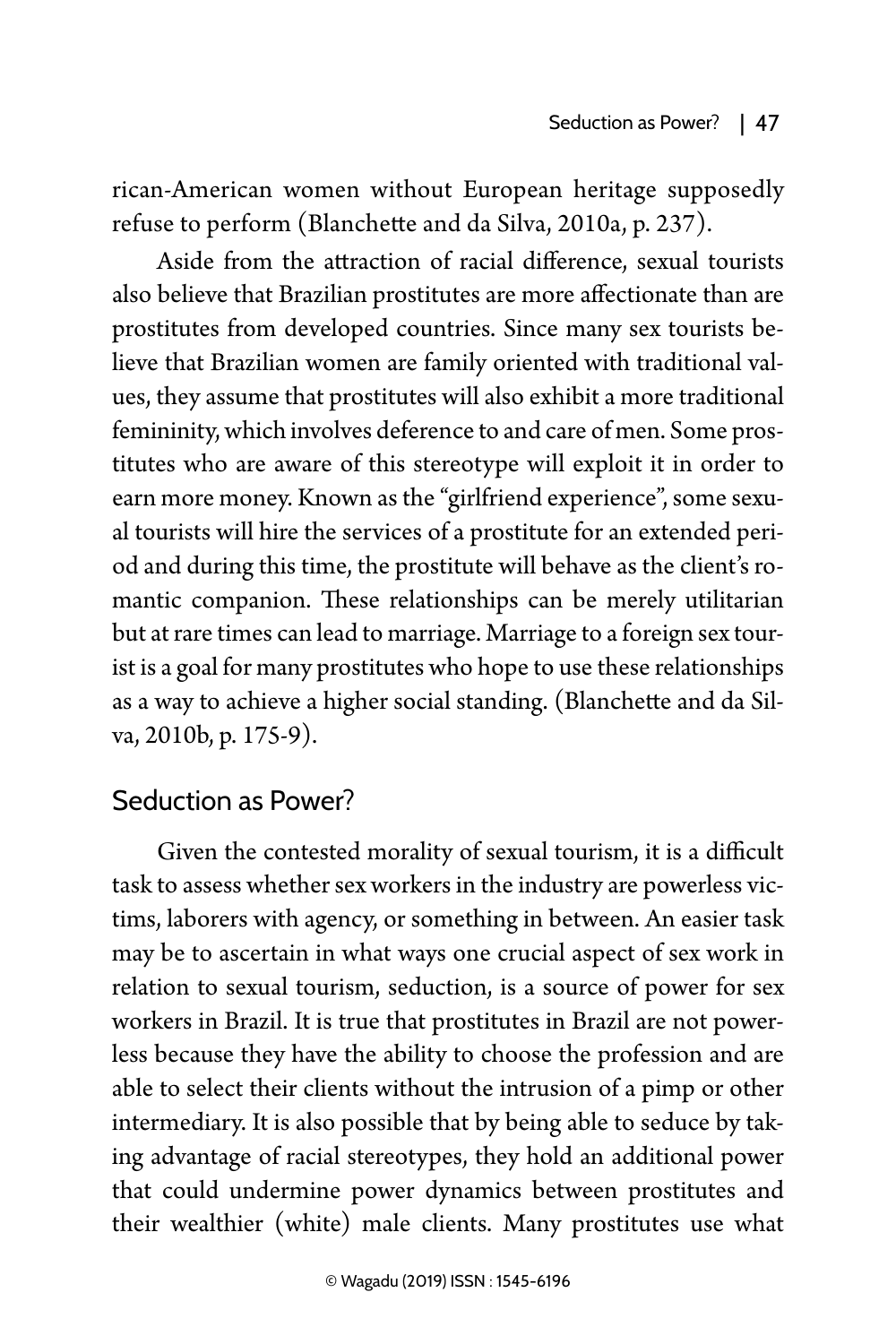rican-American women without European heritage supposedly refuse to perform (Blanchette and da Silva, 2010a, p. 237).

Aside from the attraction of racial difference, sexual tourists also believe that Brazilian prostitutes are more affectionate than are prostitutes from developed countries. Since many sex tourists believe that Brazilian women are family oriented with traditional values, they assume that prostitutes will also exhibit a more traditional femininity, which involves deference to and care of men. Some prostitutes who are aware of this stereotype will exploit it in order to earn more money. Known as the "girlfriend experience", some sexual tourists will hire the services of a prostitute for an extended period and during this time, the prostitute will behave as the client's romantic companion. These relationships can be merely utilitarian but at rare times can lead to marriage. Marriage to a foreign sex tourist is a goal for many prostitutes who hope to use these relationships as a way to achieve a higher social standing. (Blanchette and da Silva, 2010b, p. 175-9).

### Seduction as Power?

Given the contested morality of sexual tourism, it is a difficult task to assess whether sex workers in the industry are powerless victims, laborers with agency, or something in between. An easier task may be to ascertain in what ways one crucial aspect of sex work in relation to sexual tourism, seduction, is a source of power for sex workers in Brazil. It is true that prostitutes in Brazil are not powerless because they have the ability to choose the profession and are able to select their clients without the intrusion of a pimp or other intermediary. It is also possible that by being able to seduce by taking advantage of racial stereotypes, they hold an additional power that could undermine power dynamics between prostitutes and their wealthier (white) male clients. Many prostitutes use what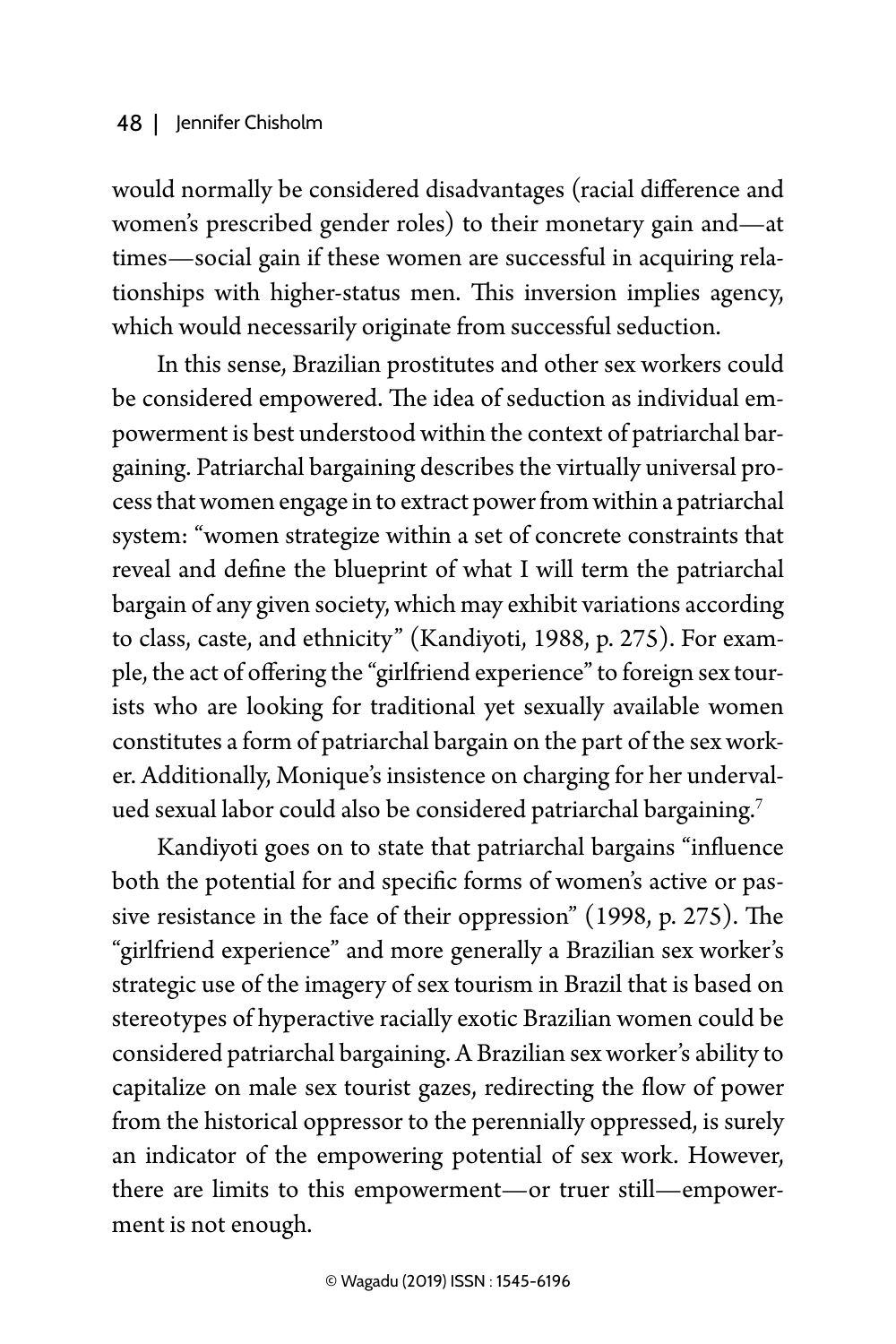would normally be considered disadvantages (racial difference and women's prescribed gender roles) to their monetary gain and—at times—social gain if these women are successful in acquiring relationships with higher-status men. This inversion implies agency, which would necessarily originate from successful seduction.

In this sense, Brazilian prostitutes and other sex workers could be considered empowered. The idea of seduction as individual empowerment is best understood within the context of patriarchal bargaining. Patriarchal bargaining describes the virtually universal process that women engage in to extract power from within a patriarchal system: "women strategize within a set of concrete constraints that reveal and define the blueprint of what I will term the patriarchal bargain of any given society, which may exhibit variations according to class, caste, and ethnicity" (Kandiyoti, 1988, p. 275). For example, the act of offering the "girlfriend experience" to foreign sex tourists who are looking for traditional yet sexually available women constitutes a form of patriarchal bargain on the part of the sex worker. Additionally, Monique's insistence on charging for her undervalued sexual labor could also be considered patriarchal bargaining.<sup>7</sup>

Kandiyoti goes on to state that patriarchal bargains "influence both the potential for and specific forms of women's active or passive resistance in the face of their oppression" (1998, p. 275). The "girlfriend experience" and more generally a Brazilian sex worker's strategic use of the imagery of sex tourism in Brazil that is based on stereotypes of hyperactive racially exotic Brazilian women could be considered patriarchal bargaining. A Brazilian sex worker's ability to capitalize on male sex tourist gazes, redirecting the flow of power from the historical oppressor to the perennially oppressed, is surely an indicator of the empowering potential of sex work. However, there are limits to this empowerment—or truer still—empowerment is not enough.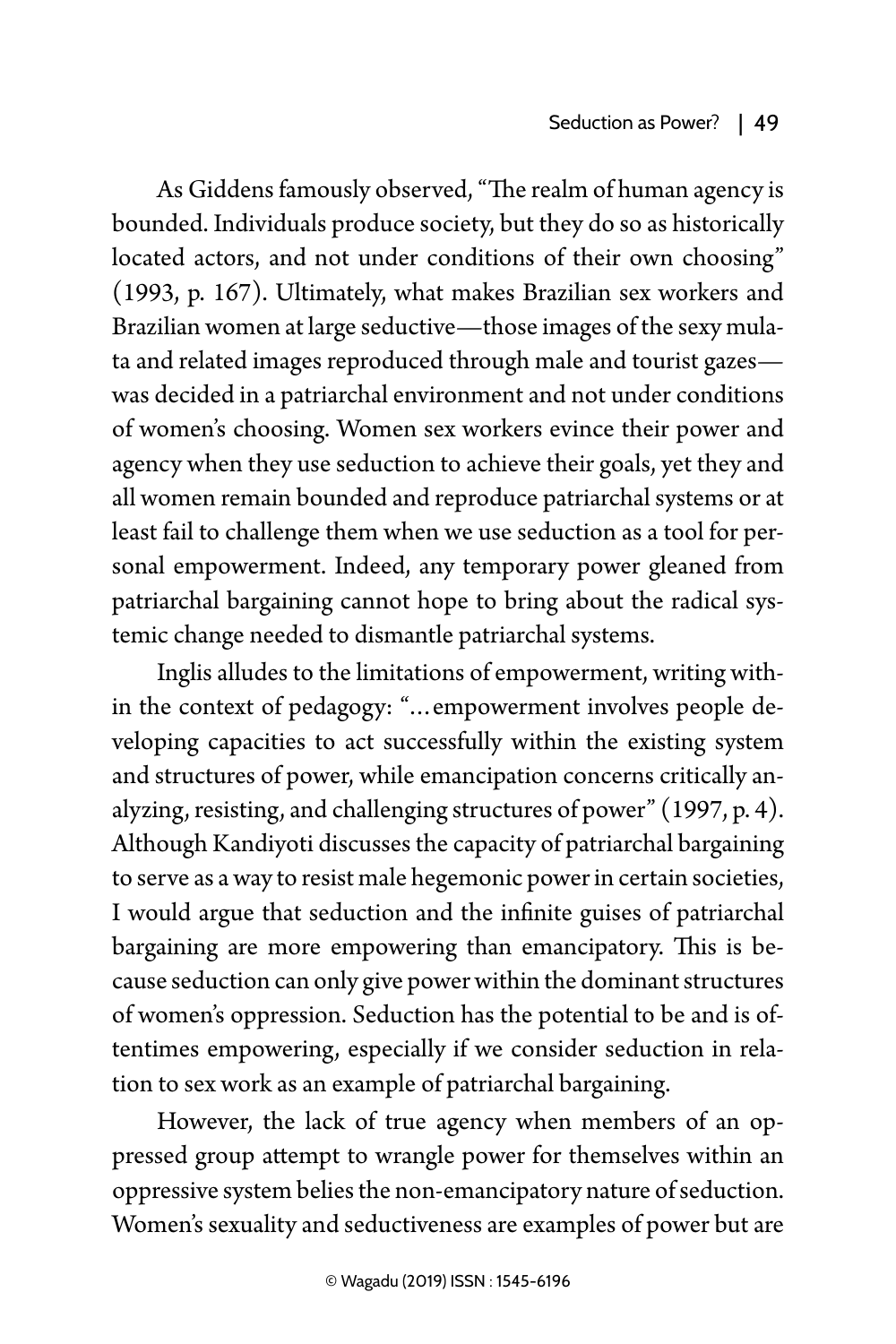As Giddens famously observed, "The realm of human agency is bounded. Individuals produce society, but they do so as historically located actors, and not under conditions of their own choosing" (1993, p. 167). Ultimately, what makes Brazilian sex workers and Brazilian women at large seductive—those images of the sexy mulata and related images reproduced through male and tourist gazes was decided in a patriarchal environment and not under conditions of women's choosing. Women sex workers evince their power and agency when they use seduction to achieve their goals, yet they and all women remain bounded and reproduce patriarchal systems or at least fail to challenge them when we use seduction as a tool for personal empowerment. Indeed, any temporary power gleaned from patriarchal bargaining cannot hope to bring about the radical systemic change needed to dismantle patriarchal systems.

Inglis alludes to the limitations of empowerment, writing within the context of pedagogy: "…empowerment involves people developing capacities to act successfully within the existing system and structures of power, while emancipation concerns critically analyzing, resisting, and challenging structures of power" (1997, p. 4). Although Kandiyoti discusses the capacity of patriarchal bargaining to serve as a way to resist male hegemonic power in certain societies, I would argue that seduction and the infinite guises of patriarchal bargaining are more empowering than emancipatory. This is because seduction can only give power within the dominant structures of women's oppression. Seduction has the potential to be and is oftentimes empowering, especially if we consider seduction in relation to sex work as an example of patriarchal bargaining.

However, the lack of true agency when members of an oppressed group attempt to wrangle power for themselves within an oppressive system belies the non-emancipatory nature of seduction. Women's sexuality and seductiveness are examples of power but are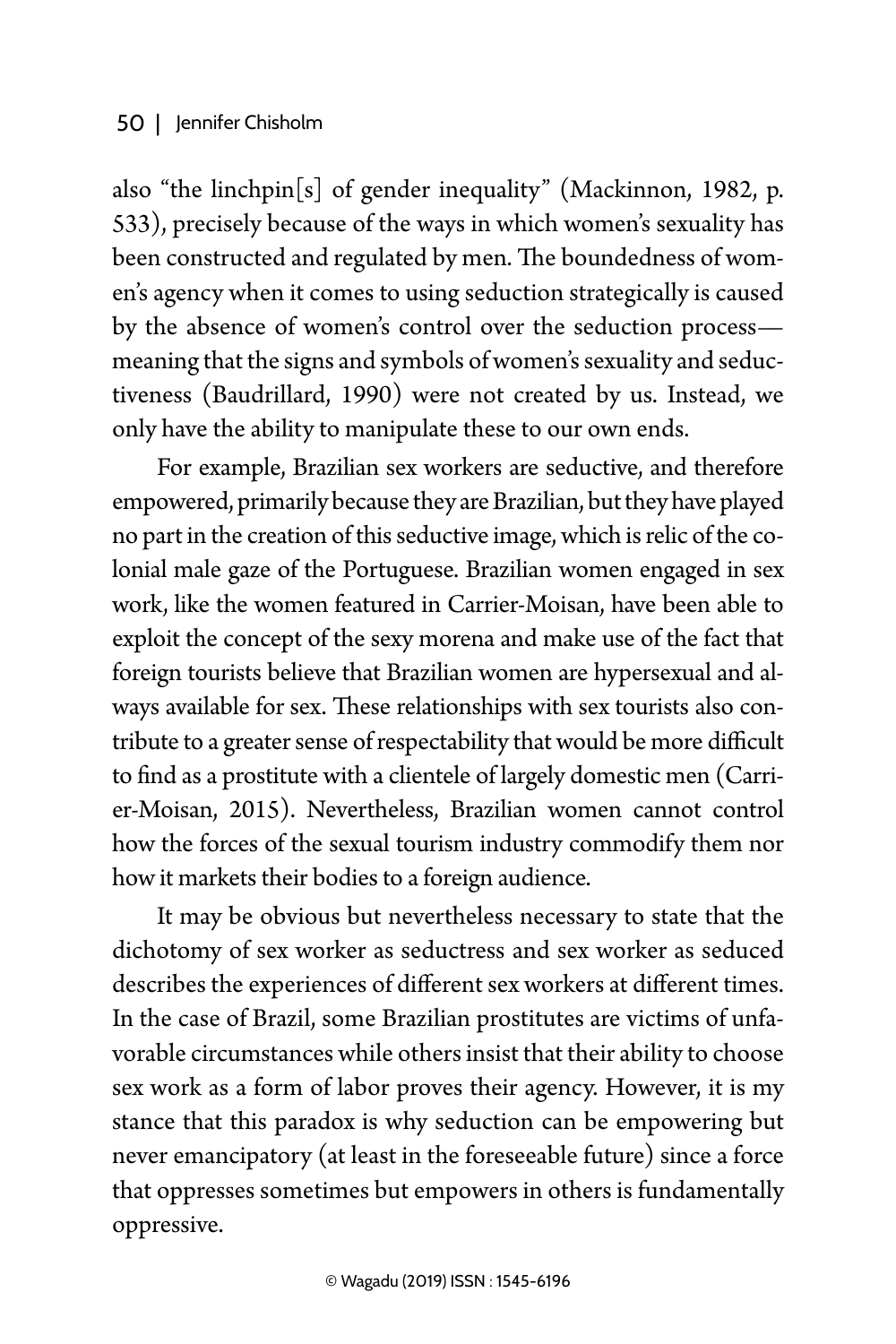also "the linchpin $[s]$  of gender inequality" (Mackinnon, 1982, p. 533), precisely because of the ways in which women's sexuality has been constructed and regulated by men. The boundedness of women's agency when it comes to using seduction strategically is caused by the absence of women's control over the seduction process meaning that the signs and symbols of women's sexuality and seductiveness (Baudrillard, 1990) were not created by us. Instead, we only have the ability to manipulate these to our own ends.

For example, Brazilian sex workers are seductive, and therefore empowered, primarily because they are Brazilian, but they have played no part in the creation of this seductive image, which is relic of the colonial male gaze of the Portuguese. Brazilian women engaged in sex work, like the women featured in Carrier-Moisan, have been able to exploit the concept of the sexy morena and make use of the fact that foreign tourists believe that Brazilian women are hypersexual and always available for sex. These relationships with sex tourists also contribute to a greater sense of respectability that would be more difficult to find as a prostitute with a clientele of largely domestic men (Carrier-Moisan, 2015). Nevertheless, Brazilian women cannot control how the forces of the sexual tourism industry commodify them nor how it markets their bodies to a foreign audience.

It may be obvious but nevertheless necessary to state that the dichotomy of sex worker as seductress and sex worker as seduced describes the experiences of different sex workers at different times. In the case of Brazil, some Brazilian prostitutes are victims of unfavorable circumstances while others insist that their ability to choose sex work as a form of labor proves their agency. However, it is my stance that this paradox is why seduction can be empowering but never emancipatory (at least in the foreseeable future) since a force that oppresses sometimes but empowers in others is fundamentally oppressive.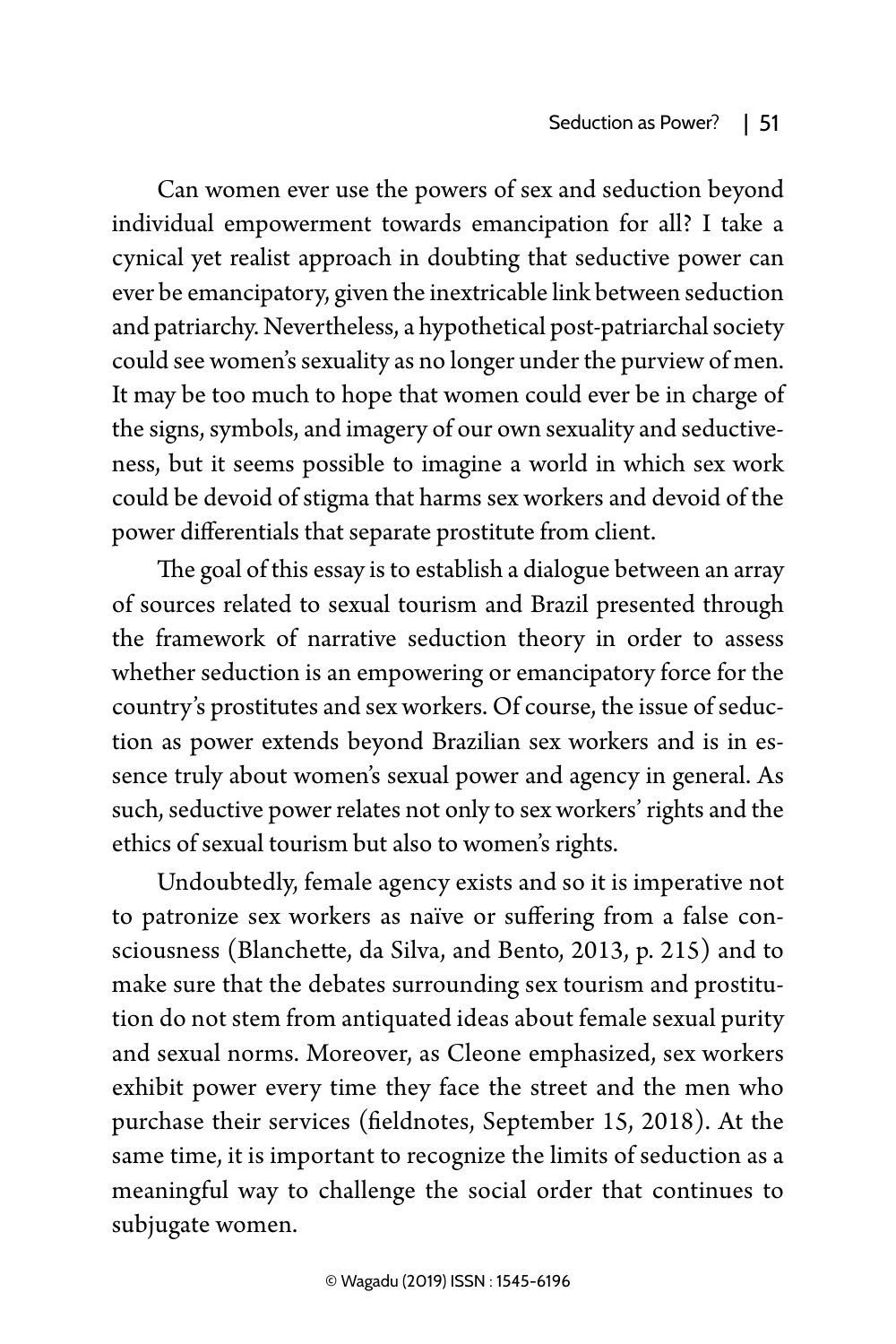Can women ever use the powers of sex and seduction beyond individual empowerment towards emancipation for all? I take a cynical yet realist approach in doubting that seductive power can ever be emancipatory, given the inextricable link between seduction and patriarchy. Nevertheless, a hypothetical post-patriarchal society could see women's sexuality as no longer under the purview of men. It may be too much to hope that women could ever be in charge of the signs, symbols, and imagery of our own sexuality and seductiveness, but it seems possible to imagine a world in which sex work could be devoid of stigma that harms sex workers and devoid of the power differentials that separate prostitute from client.

The goal of this essay is to establish a dialogue between an array of sources related to sexual tourism and Brazil presented through the framework of narrative seduction theory in order to assess whether seduction is an empowering or emancipatory force for the country's prostitutes and sex workers. Of course, the issue of seduction as power extends beyond Brazilian sex workers and is in essence truly about women's sexual power and agency in general. As such, seductive power relates not only to sex workers' rights and the ethics of sexual tourism but also to women's rights.

Undoubtedly, female agency exists and so it is imperative not to patronize sex workers as naïve or suffering from a false consciousness (Blanchette, da Silva, and Bento, 2013, p. 215) and to make sure that the debates surrounding sex tourism and prostitution do not stem from antiquated ideas about female sexual purity and sexual norms. Moreover, as Cleone emphasized, sex workers exhibit power every time they face the street and the men who purchase their services (fieldnotes, September 15, 2018). At the same time, it is important to recognize the limits of seduction as a meaningful way to challenge the social order that continues to subjugate women.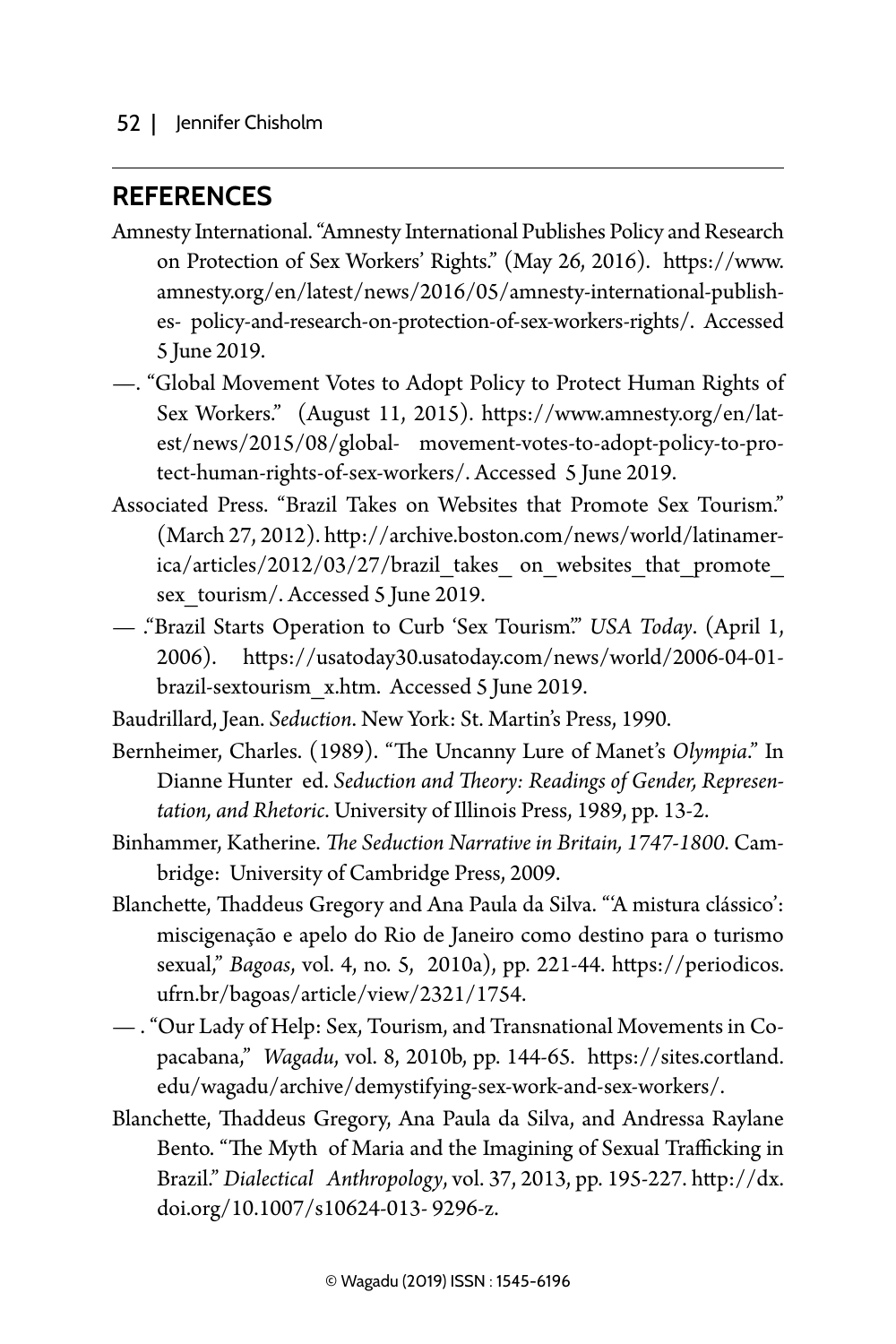### **REFERENCES**

- Amnesty International. "Amnesty International Publishes Policy and Research on Protection of Sex Workers' Rights." (May 26, 2016). https://www. amnesty.org/en/latest/news/2016/05/amnesty-international-publishes- policy-and-research-on-protection-of-sex-workers-rights/. Accessed 5 June 2019.
- —. "Global Movement Votes to Adopt Policy to Protect Human Rights of Sex Workers." (August 11, 2015). https://www.amnesty.org/en/latest/news/2015/08/global- movement-votes-to-adopt-policy-to-protect-human-rights-of-sex-workers/. Accessed 5 June 2019.
- Associated Press. "Brazil Takes on Websites that Promote Sex Tourism." (March 27, 2012). http://archive.boston.com/news/world/latinamerica/articles/2012/03/27/brazil\_takes\_on\_websites\_that\_promote sex tourism/. Accessed 5 June 2019.
- ."Brazil Starts Operation to Curb 'Sex Tourism'." *USA Today*. (April 1, 2006). https://usatoday30.usatoday.com/news/world/2006-04-01 brazil-sextourism\_x.htm. Accessed 5 June 2019.
- Baudrillard, Jean. *Seduction*. New York: St. Martin's Press, 1990.
- Bernheimer, Charles. (1989). "The Uncanny Lure of Manet's *Olympia*." In Dianne Hunter ed. *Seduction and Theory: Readings of Gender, Representation, and Rhetoric*. University of Illinois Press, 1989, pp. 13-2.
- Binhammer, Katherine. *The Seduction Narrative in Britain, 1747-1800*. Cambridge: University of Cambridge Press, 2009.
- Blanchette, Thaddeus Gregory and Ana Paula da Silva. "'A mistura clássico': miscigenação e apelo do Rio de Janeiro como destino para o turismo sexual," *Bagoas*, vol. 4, no. 5, 2010a), pp. 221-44. https://periodicos. ufrn.br/bagoas/article/view/2321/1754.
- . "Our Lady of Help: Sex, Tourism, and Transnational Movements in Copacabana," *Wagadu*, vol. 8, 2010b, pp. 144-65. https://sites.cortland. edu/wagadu/archive/demystifying-sex-work-and-sex-workers/.
- Blanchette, Thaddeus Gregory, Ana Paula da Silva, and Andressa Raylane Bento. "The Myth of Maria and the Imagining of Sexual Trafficking in Brazil." *Dialectical Anthropology*, vol. 37, 2013, pp. 195-227. http://dx. doi.org/10.1007/s10624-013- 9296-z.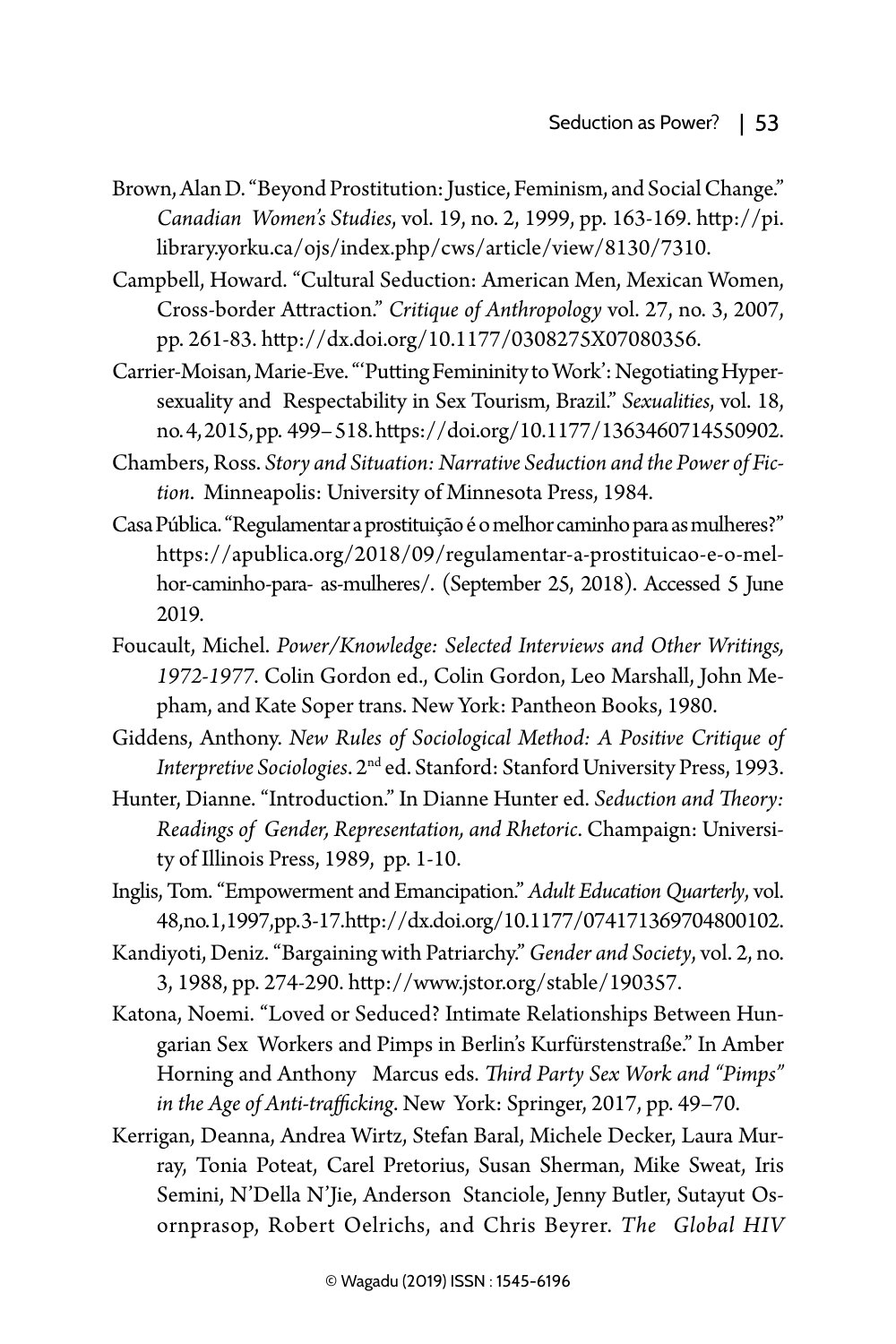- Brown, Alan D. "Beyond Prostitution: Justice, Feminism, and Social Change." *Canadian Women's Studies*, vol. 19, no. 2, 1999, pp. 163-169. http://pi. library.yorku.ca/ojs/index.php/cws/article/view/8130/7310.
- Campbell, Howard. "Cultural Seduction: American Men, Mexican Women, Cross-border Attraction." *Critique of Anthropology* vol. 27, no. 3, 2007, pp. 261-83. http://dx.doi.org/10.1177/0308275X07080356.
- Carrier-Moisan, Marie-Eve. "'Putting Femininity to Work': Negotiating Hypersexuality and Respectability in Sex Tourism, Brazil." *Sexualities*, vol. 18, no. 4, 2015, pp. 499– 518. https://doi.org/10.1177/1363460714550902.
- Chambers, Ross. *Story and Situation: Narrative Seduction and the Power of Fiction*. Minneapolis: University of Minnesota Press, 1984.
- Casa Pública. "Regulamentar a prostituição é o melhor caminho para as mulheres?" https://apublica.org/2018/09/regulamentar-a-prostituicao-e-o-melhor-caminho-para- as-mulheres/. (September 25, 2018). Accessed 5 June 2019.
- Foucault, Michel. *Power/Knowledge: Selected Interviews and Other Writings, 1972-1977*. Colin Gordon ed., Colin Gordon, Leo Marshall, John Mepham, and Kate Soper trans. New York: Pantheon Books, 1980.
- Giddens, Anthony. *New Rules of Sociological Method: A Positive Critique of Interpretive Sociologies*. 2nd ed. Stanford: Stanford University Press, 1993.
- Hunter, Dianne. "Introduction." In Dianne Hunter ed. *Seduction and Theory: Readings of Gender, Representation, and Rhetoric*. Champaign: University of Illinois Press, 1989, pp. 1-10.
- Inglis, Tom. "Empowerment and Emancipation." *Adult Education Quarterly*, vol. 48, no. 1, 1997, pp. 3-17. http://dx.doi.org/10.1177/074171369704800102.
- Kandiyoti, Deniz. "Bargaining with Patriarchy." *Gender and Society*, vol. 2, no. 3, 1988, pp. 274-290. http://www.jstor.org/stable/190357.
- Katona, Noemi. "Loved or Seduced? Intimate Relationships Between Hungarian Sex Workers and Pimps in Berlin's Kurfürstenstraße." In Amber Horning and Anthony Marcus eds. *Third Party Sex Work and "Pimps" in the Age of Anti-trafficking*. New York: Springer, 2017, pp. 49–70.
- Kerrigan, Deanna, Andrea Wirtz, Stefan Baral, Michele Decker, Laura Murray, Tonia Poteat, Carel Pretorius, Susan Sherman, Mike Sweat, Iris Semini, N'Della N'Jie, Anderson Stanciole, Jenny Butler, Sutayut Osornprasop, Robert Oelrichs, and Chris Beyrer. *The Global HIV*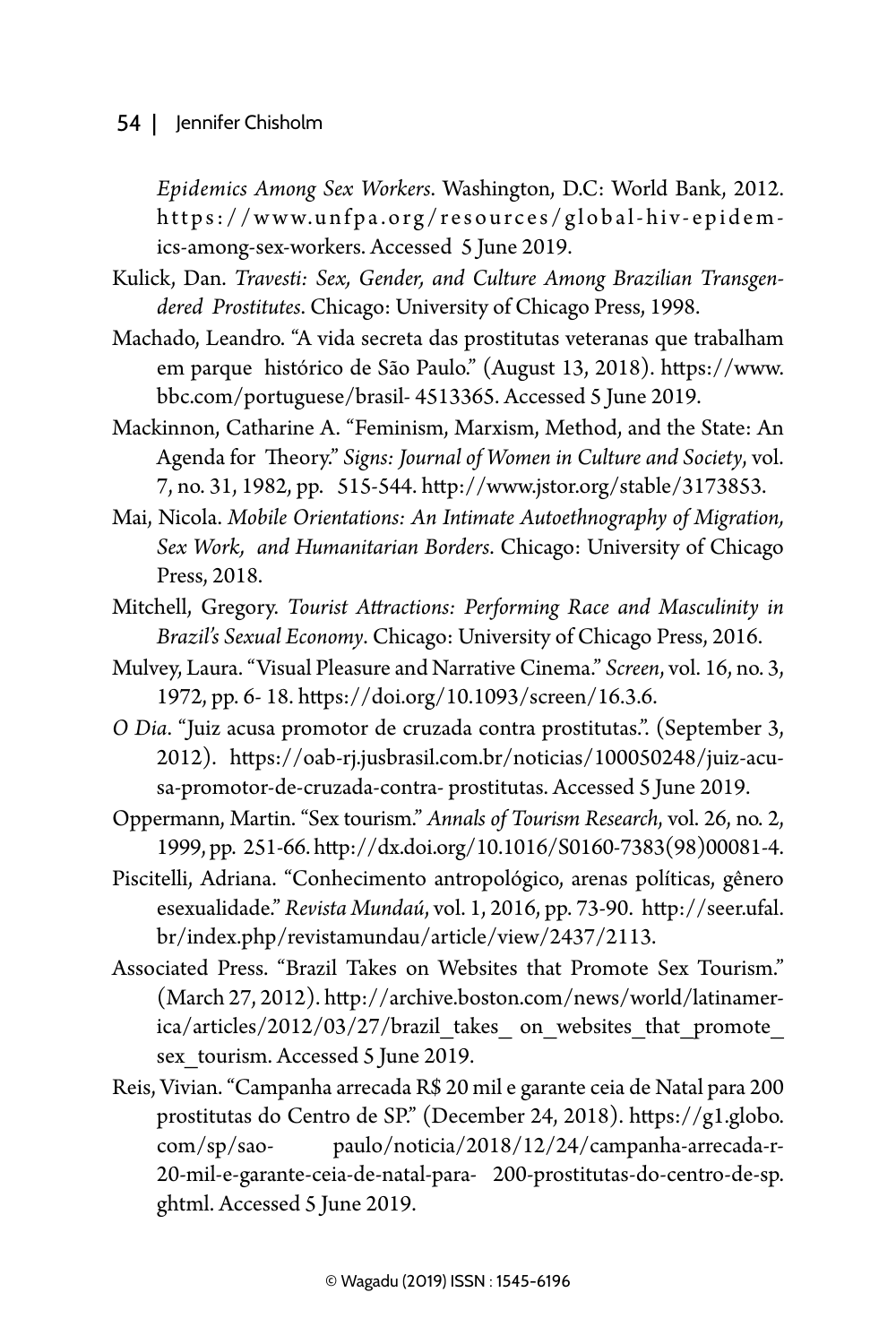#### 54 | Jennifer Chisholm

*Epidemics Among Sex Workers*. Washington, D.C: World Bank, 2012. https://www.unfpa.org/resources/global-hiv-epidemics-among-sex-workers. Accessed 5 June 2019.

- Kulick, Dan. *Travesti: Sex, Gender, and Culture Among Brazilian Transgendered Prostitutes*. Chicago: University of Chicago Press, 1998.
- Machado, Leandro. "A vida secreta das prostitutas veteranas que trabalham em parque histórico de São Paulo." (August 13, 2018). https://www. bbc.com/portuguese/brasil- 4513365. Accessed 5 June 2019.
- Mackinnon, Catharine A. "Feminism, Marxism, Method, and the State: An Agenda for Theory." *Signs: Journal of Women in Culture and Society*, vol. 7, no. 31, 1982, pp. 515-544. http://www.jstor.org/stable/3173853.
- Mai, Nicola. *Mobile Orientations: An Intimate Autoethnography of Migration, Sex Work, and Humanitarian Borders*. Chicago: University of Chicago Press, 2018.
- Mitchell, Gregory. *Tourist Attractions: Performing Race and Masculinity in Brazil's Sexual Economy*. Chicago: University of Chicago Press, 2016.
- Mulvey, Laura. "Visual Pleasure and Narrative Cinema." *Screen*, vol. 16, no. 3, 1972, pp. 6- 18. https://doi.org/10.1093/screen/16.3.6.
- *O Dia*. "Juiz acusa promotor de cruzada contra prostitutas.". (September 3, 2012). https://oab-rj.jusbrasil.com.br/noticias/100050248/juiz-acusa-promotor-de-cruzada-contra- prostitutas. Accessed 5 June 2019.
- Oppermann, Martin. "Sex tourism." *Annals of Tourism Research*, vol. 26, no. 2, 1999, pp. 251-66. http://dx.doi.org/10.1016/S0160-7383(98)00081-4.
- Piscitelli, Adriana. "Conhecimento antropológico, arenas políticas, gênero esexualidade." *Revista Mundaú*, vol. 1, 2016, pp. 73-90. http://seer.ufal. br/index.php/revistamundau/article/view/2437/2113.
- Associated Press. "Brazil Takes on Websites that Promote Sex Tourism." (March 27, 2012). http://archive.boston.com/news/world/latinamerica/articles/2012/03/27/brazil\_takes\_ on\_websites\_that\_promote\_ sex tourism. Accessed 5 June 2019.
- Reis, Vivian. "Campanha arrecada R\$ 20 mil e garante ceia de Natal para 200 prostitutas do Centro de SP." (December 24, 2018). https://g1.globo. com/sp/sao- paulo/noticia/2018/12/24/campanha-arrecada-r-20-mil-e-garante-ceia-de-natal-para- 200-prostitutas-do-centro-de-sp. ghtml. Accessed 5 June 2019.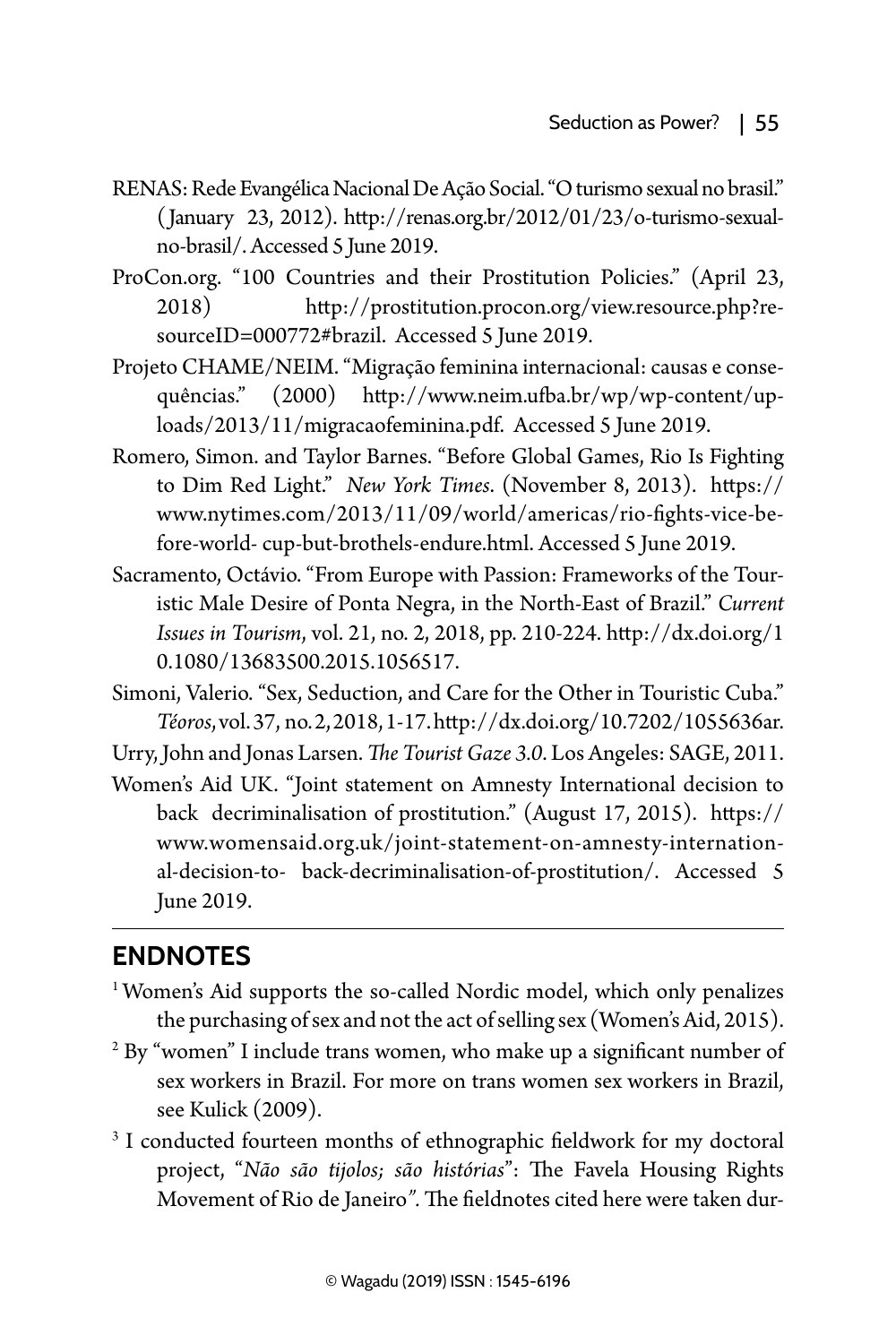- RENAS: Rede Evangélica Nacional De Ação Social. "O turismo sexual no brasil." (January 23, 2012). http://renas.org.br/2012/01/23/o-turismo-sexualno-brasil/. Accessed 5 June 2019.
- ProCon.org. "100 Countries and their Prostitution Policies." (April 23, 2018) http://prostitution.procon.org/view.resource.php?resourceID=000772#brazil. Accessed 5 June 2019.
- Projeto CHAME/NEIM. "Migração feminina internacional: causas e consequências." (2000) http://www.neim.ufba.br/wp/wp-content/uploads/2013/11/migracaofeminina.pdf. Accessed 5 June 2019.
- Romero, Simon. and Taylor Barnes. "Before Global Games, Rio Is Fighting to Dim Red Light." *New York Times*. (November 8, 2013). https:// www.nytimes.com/2013/11/09/world/americas/rio-fights-vice-before-world- cup-but-brothels-endure.html. Accessed 5 June 2019.
- Sacramento, Octávio. "From Europe with Passion: Frameworks of the Touristic Male Desire of Ponta Negra, in the North-East of Brazil." *Current Issues in Tourism*, vol. 21, no. 2, 2018, pp. 210-224. http://dx.doi.org/1 0.1080/13683500.2015.1056517.
- Simoni, Valerio. "Sex, Seduction, and Care for the Other in Touristic Cuba." *Téoros*, vol. 37, no. 2, 2018, 1-17. http://dx.doi.org/10.7202/1055636ar.

Urry, John and Jonas Larsen. *The Tourist Gaze 3.0*. Los Angeles: SAGE, 2011.

Women's Aid UK. "Joint statement on Amnesty International decision to back decriminalisation of prostitution." (August 17, 2015). https:// www.womensaid.org.uk/joint-statement-on-amnesty-international-decision-to- back-decriminalisation-of-prostitution/. Accessed 5 June 2019.

### **Endnotes**

- <sup>1</sup> Women's Aid supports the so-called Nordic model, which only penalizes the purchasing of sex and not the act of selling sex (Women's Aid, 2015).
- 2 By "women" I include trans women, who make up a significant number of sex workers in Brazil. For more on trans women sex workers in Brazil, see Kulick (2009).
- <sup>3</sup> I conducted fourteen months of ethnographic fieldwork for my doctoral project, "*Não são tijolos; são histórias*": The Favela Housing Rights Movement of Rio de Janeiro*".* The fieldnotes cited here were taken dur-